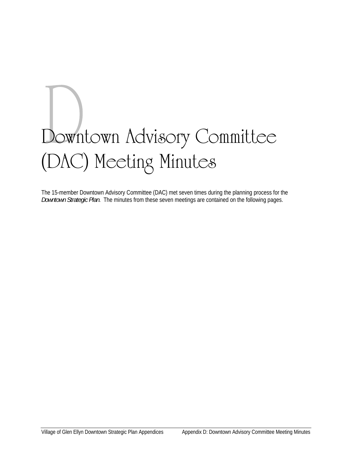# Downtown Advisory Committee (DAC) Meeting Minutes

The 15-member Downtown Advisory Committee (DAC) met seven times during the planning process for the *Downtown Strategic Plan*. The minutes from these seven meetings are contained on the following pages.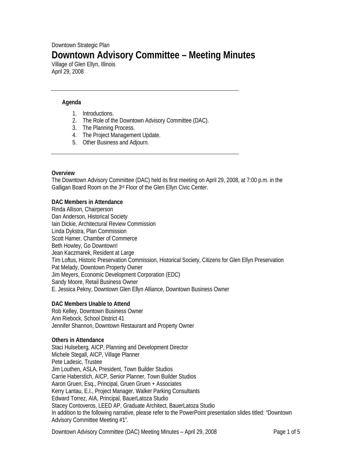# Downtown Strategic Plan **Downtown Advisory Committee – Meeting Minutes**

Village of Glen Ellyn, Illinois April 29, 2008

## **Agenda**

- 1. Introductions.
- 2. The Role of the Downtown Advisory Committee (DAC).
- 3. The Planning Process.
- 4. The Project Management Update.
- 5. Other Business and Adjourn.

#### **Overview**

The Downtown Advisory Committee (DAC) held its first meeting on April 29, 2008, at 7:00 p.m. in the Galligan Board Room on the 3rd Floor of the Glen Ellyn Civic Center.

#### **DAC Members in Attendance**

Rinda Allison, Chairperson Dan Anderson, Historical Society Iain Dickie, Architectural Review Commission Linda Dykstra, Plan Commission Scott Hamer, Chamber of Commerce Beth Howley, Go Downtown! Jean Kaczmarek, Resident at Large Tim Loftus, Historic Preservation Commission, Historical Society, Citizens for Glen Ellyn Preservation Pat Melady, Downtown Property Owner Jim Meyers, Economic Development Corporation (EDC) Sandy Moore, Retail Business Owner E. Jessica Pekny, Downtown Glen Ellyn Alliance, Downtown Business Owner

#### **DAC Members Unable to Attend**

Rob Kelley, Downtown Business Owner Ann Riebock, School District 41 Jennifer Shannon, Downtown Restaurant and Property Owner

#### **Others in Attendance**

Staci Hulseberg, AICP, Planning and Development Director Michele Stegall, AICP, Village Planner Pete Ladesic, Trustee Jim Louthen, ASLA, President, Town Builder Studios Carrie Haberstich, AICP, Senior Planner, Town Builder Studios Aaron Gruen, Esq., Principal, Gruen Gruen + Associates Kerry Lantau, E.I., Project Manager, Walker Parking Consultants Edward Torrez, AIA, Principal, BauerLatoza Studio Stacey Contoveros, LEED AP, Graduate Architect, BauerLatoza Studio In addition to the following narrative, please refer to the PowerPoint presentation slides titled: "Downtown Advisory Committee Meeting #1".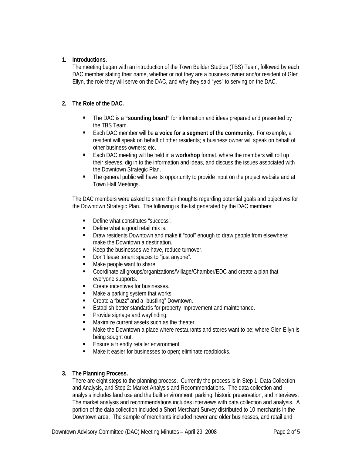# **1. Introductions.**

The meeting began with an introduction of the Town Builder Studios (TBS) Team, followed by each DAC member stating their name, whether or not they are a business owner and/or resident of Glen Ellyn, the role they will serve on the DAC, and why they said "yes" to serving on the DAC.

# **2. The Role of the DAC.**

- The DAC is a **"sounding board"** for information and ideas prepared and presented by the TBS Team.
- Each DAC member will be a voice for a segment of the community. For example, a resident will speak on behalf of other residents; a business owner will speak on behalf of other business owners; etc.
- Each DAC meeting will be held in a workshop format, where the members will roll up their sleeves, dig in to the information and ideas, and discuss the issues associated with the Downtown Strategic Plan.
- The general public will have its opportunity to provide input on the project website and at Town Hall Meetings.

The DAC members were asked to share their thoughts regarding potential goals and objectives for the Downtown Strategic Plan. The following is the list generated by the DAC members:

- Define what constitutes "success".
- Define what a good retail mix is.
- **Draw residents Downtown and make it "cool" enough to draw people from elsewhere;** make the Downtown a destination.
- Keep the businesses we have, reduce turnover.
- Don't lease tenant spaces to "just anyone".
- Make people want to share.
- Coordinate all groups/organizations/Village/Chamber/EDC and create a plan that everyone supports.
- **Create incentives for businesses.**
- Make a parking system that works.
- **EXECT** Create a "buzz" and a "bustling" Downtown.
- **Establish better standards for property improvement and maintenance.**
- **•** Provide signage and wayfinding.
- **Maximize current assets such as the theater.**
- Make the Downtown a place where restaurants and stores want to be; where Glen Ellyn is being sought out.
- **Ensure a friendly retailer environment.**
- Make it easier for businesses to open; eliminate roadblocks.

#### **3. The Planning Process.**

There are eight steps to the planning process. Currently the process is in Step 1: Data Collection and Analysis, and Step 2: Market Analysis and Recommendations. The data collection and analysis includes land use and the built environment, parking, historic preservation, and interviews. The market analysis and recommendations includes interviews with data collection and analysis. A portion of the data collection included a Short Merchant Survey distributed to 10 merchants in the Downtown area. The sample of merchants included newer and older businesses, and retail and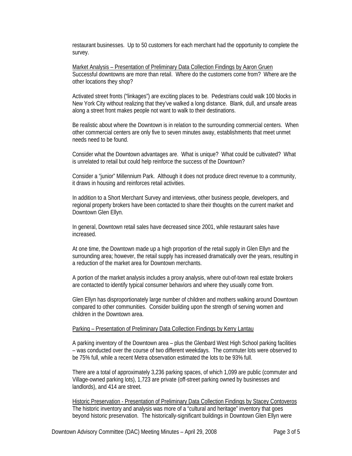restaurant businesses. Up to 50 customers for each merchant had the opportunity to complete the survey.

Market Analysis – Presentation of Preliminary Data Collection Findings by Aaron Gruen Successful downtowns are more than retail. Where do the customers come from? Where are the other locations they shop?

Activated street fronts ("linkages") are exciting places to be. Pedestrians could walk 100 blocks in New York City without realizing that they've walked a long distance. Blank, dull, and unsafe areas along a street front makes people not want to walk to their destinations.

Be realistic about where the Downtown is in relation to the surrounding commercial centers. When other commercial centers are only five to seven minutes away, establishments that meet unmet needs need to be found.

Consider what the Downtown advantages are. What is unique? What could be cultivated? What is unrelated to retail but could help reinforce the success of the Downtown?

Consider a "junior" Millennium Park. Although it does not produce direct revenue to a community, it draws in housing and reinforces retail activities.

In addition to a Short Merchant Survey and interviews, other business people, developers, and regional property brokers have been contacted to share their thoughts on the current market and Downtown Glen Ellyn.

In general, Downtown retail sales have decreased since 2001, while restaurant sales have increased.

At one time, the Downtown made up a high proportion of the retail supply in Glen Ellyn and the surrounding area; however, the retail supply has increased dramatically over the years, resulting in a reduction of the market area for Downtown merchants.

A portion of the market analysis includes a proxy analysis, where out-of-town real estate brokers are contacted to identify typical consumer behaviors and where they usually come from.

Glen Ellyn has disproportionately large number of children and mothers walking around Downtown compared to other communities. Consider building upon the strength of serving women and children in the Downtown area.

#### Parking – Presentation of Preliminary Data Collection Findings by Kerry Lantau

A parking inventory of the Downtown area – plus the Glenbard West High School parking facilities – was conducted over the course of two different weekdays. The commuter lots were observed to be 75% full, while a recent Metra observation estimated the lots to be 93% full.

There are a total of approximately 3,236 parking spaces, of which 1,099 are public (commuter and Village-owned parking lots), 1,723 are private (off-street parking owned by businesses and landlords), and 414 are street.

Historic Preservation - Presentation of Preliminary Data Collection Findings by Stacey Contoveros The historic inventory and analysis was more of a "cultural and heritage" inventory that goes beyond historic preservation. The historically-significant buildings in Downtown Glen Ellyn were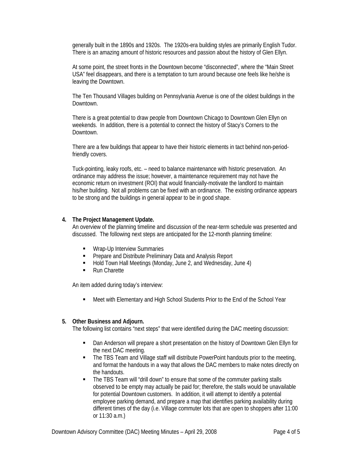generally built in the 1890s and 1920s. The 1920s-era building styles are primarily English Tudor. There is an amazing amount of historic resources and passion about the history of Glen Ellyn.

At some point, the street fronts in the Downtown become "disconnected", where the "Main Street USA" feel disappears, and there is a temptation to turn around because one feels like he/she is leaving the Downtown.

The Ten Thousand Villages building on Pennsylvania Avenue is one of the oldest buildings in the Downtown.

There is a great potential to draw people from Downtown Chicago to Downtown Glen Ellyn on weekends. In addition, there is a potential to connect the history of Stacy's Corners to the Downtown.

There are a few buildings that appear to have their historic elements in tact behind non-periodfriendly covers.

Tuck-pointing, leaky roofs, etc. – need to balance maintenance with historic preservation. An ordinance may address the issue; however, a maintenance requirement may not have the economic return on investment (ROI) that would financially-motivate the landlord to maintain his/her building. Not all problems can be fixed with an ordinance. The existing ordinance appears to be strong and the buildings in general appear to be in good shape.

#### **4. The Project Management Update.**

An overview of the planning timeline and discussion of the near-term schedule was presented and discussed. The following next steps are anticipated for the 12-month planning timeline:

- **Wrap-Up Interview Summaries**
- **Prepare and Distribute Preliminary Data and Analysis Report**
- Hold Town Hall Meetings (Monday, June 2, and Wednesday, June 4)
- Run Charette

An item added during today's interview:

■ Meet with Elementary and High School Students Prior to the End of the School Year

#### **5. Other Business and Adjourn.**

The following list contains "next steps" that were identified during the DAC meeting discussion:

- **•** Dan Anderson will prepare a short presentation on the history of Downtown Glen Ellyn for the next DAC meeting.
- The TBS Team and Village staff will distribute PowerPoint handouts prior to the meeting, and format the handouts in a way that allows the DAC members to make notes directly on the handouts.
- The TBS Team will "drill down" to ensure that some of the commuter parking stalls observed to be empty may actually be paid for; therefore, the stalls would be unavailable for potential Downtown customers. In addition, it will attempt to identify a potential employee parking demand, and prepare a map that identifies parking availability during different times of the day (i.e. Village commuter lots that are open to shoppers after 11:00 or 11:30 a.m.)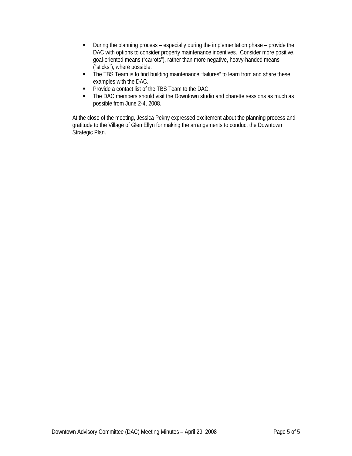- During the planning process especially during the implementation phase provide the DAC with options to consider property maintenance incentives. Consider more positive, goal-oriented means ("carrots"), rather than more negative, heavy-handed means ("sticks"), where possible.
- The TBS Team is to find building maintenance "failures" to learn from and share these examples with the DAC.
- **Provide a contact list of the TBS Team to the DAC.**
- The DAC members should visit the Downtown studio and charette sessions as much as possible from June 2-4, 2008.

At the close of the meeting, Jessica Pekny expressed excitement about the planning process and gratitude to the Village of Glen Ellyn for making the arrangements to conduct the Downtown Strategic Plan.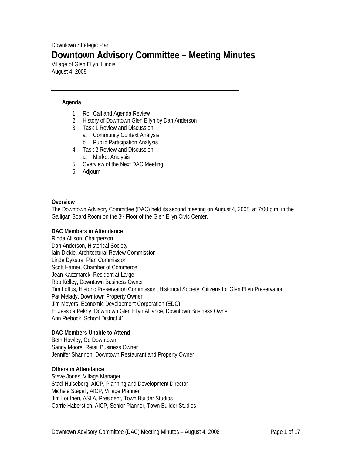# Downtown Strategic Plan **Downtown Advisory Committee – Meeting Minutes**

Village of Glen Ellyn, Illinois August 4, 2008

## **Agenda**

- 1. Roll Call and Agenda Review
- 2. History of Downtown Glen Ellyn by Dan Anderson
- 3. Task 1 Review and Discussion
	- a. Community Context Analysis
	- b. Public Participation Analysis
- 4. Task 2 Review and Discussion
	- a. Market Analysis
- 5. Overview of the Next DAC Meeting
- 6. Adjourn

#### **Overview**

The Downtown Advisory Committee (DAC) held its second meeting on August 4, 2008, at 7:00 p.m. in the Galligan Board Room on the 3rd Floor of the Glen Ellyn Civic Center.

#### **DAC Members in Attendance**

Rinda Allison, Chairperson Dan Anderson, Historical Society Iain Dickie, Architectural Review Commission Linda Dykstra, Plan Commission Scott Hamer, Chamber of Commerce Jean Kaczmarek, Resident at Large Rob Kelley, Downtown Business Owner Tim Loftus, Historic Preservation Commission, Historical Society, Citizens for Glen Ellyn Preservation Pat Melady, Downtown Property Owner Jim Meyers, Economic Development Corporation (EDC) E. Jessica Pekny, Downtown Glen Ellyn Alliance, Downtown Business Owner Ann Riebock, School District 41

#### **DAC Members Unable to Attend**

Beth Howley, Go Downtown! Sandy Moore, Retail Business Owner Jennifer Shannon, Downtown Restaurant and Property Owner

#### **Others in Attendance**

Steve Jones, Village Manager Staci Hulseberg, AICP, Planning and Development Director Michele Stegall, AICP, Village Planner Jim Louthen, ASLA, President, Town Builder Studios Carrie Haberstich, AICP, Senior Planner, Town Builder Studios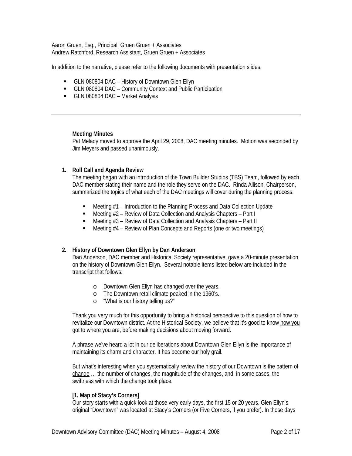Aaron Gruen, Esq., Principal, Gruen Gruen + Associates Andrew Ratchford, Research Assistant, Gruen Gruen + Associates

In addition to the narrative, please refer to the following documents with presentation slides:

- GLN 080804 DAC History of Downtown Glen Ellyn
- GLN 080804 DAC Community Context and Public Participation
- GLN 080804 DAC Market Analysis

#### **Meeting Minutes**

Pat Melady moved to approve the April 29, 2008, DAC meeting minutes. Motion was seconded by Jim Meyers and passed unanimously.

#### **1. Roll Call and Agenda Review**

The meeting began with an introduction of the Town Builder Studios (TBS) Team, followed by each DAC member stating their name and the role they serve on the DAC. Rinda Allison, Chairperson, summarized the topics of what each of the DAC meetings will cover during the planning process:

- Meeting #1 Introduction to the Planning Process and Data Collection Update
- Meeting #2 Review of Data Collection and Analysis Chapters Part I
- Meeting #3 Review of Data Collection and Analysis Chapters Part II
- $\blacksquare$  Meeting  $#4$  Review of Plan Concepts and Reports (one or two meetings)

#### **2. History of Downtown Glen Ellyn by Dan Anderson**

Dan Anderson, DAC member and Historical Society representative, gave a 20-minute presentation on the history of Downtown Glen Ellyn. Several notable items listed below are included in the transcript that follows:

- o Downtown Glen Ellyn has changed over the years.
- o The Downtown retail climate peaked in the 1960's.
- o "What is our history telling us?"

Thank you very much for this opportunity to bring a historical perspective to this question of how to revitalize our Downtown district. At the Historical Society, we believe that it's good to know how you got to where you are, before making decisions about moving forward.

A phrase we've heard a lot in our deliberations about Downtown Glen Ellyn is the importance of maintaining its charm and character. It has become our holy grail.

But what's interesting when you systematically review the history of our Downtown is the pattern of change … the number of changes, the magnitude of the changes, and, in some cases, the swiftness with which the change took place.

#### **[1. Map of Stacy's Corners]**

Our story starts with a quick look at those very early days, the first 15 or 20 years. Glen Ellyn's original "Downtown" was located at Stacy's Corners (or Five Corners, if you prefer). In those days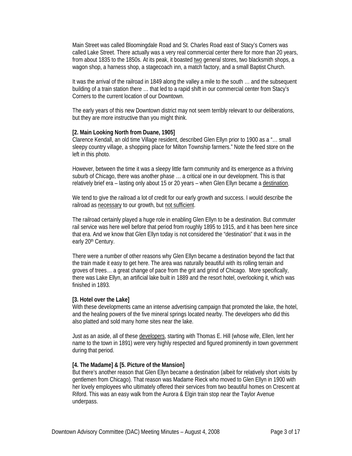Main Street was called Bloomingdale Road and St. Charles Road east of Stacy's Corners was called Lake Street. There actually was a very real commercial center there for more than 20 years, from about 1835 to the 1850s. At its peak, it boasted two general stores, two blacksmith shops, a wagon shop, a harness shop, a stagecoach inn, a match factory, and a small Baptist Church.

It was the arrival of the railroad in 1849 along the valley a mile to the south … and the subsequent building of a train station there … that led to a rapid shift in our commercial center from Stacy's Corners to the current location of our Downtown.

The early years of this new Downtown district may not seem terribly relevant to our deliberations, but they are more instructive than you might think.

#### **[2. Main Looking North from Duane, 1905]**

Clarence Kendall, an old time Village resident, described Glen Ellyn prior to 1900 as a "… small sleepy country village, a shopping place for Milton Township farmers." Note the feed store on the left in this photo.

However, between the time it was a sleepy little farm community and its emergence as a thriving suburb of Chicago, there was another phase … a critical one in our development. This is that relatively brief era – lasting only about 15 or 20 years – when Glen Ellyn became a destination.

We tend to give the railroad a lot of credit for our early growth and success. I would describe the railroad as necessary to our growth, but not sufficient.

The railroad certainly played a huge role in enabling Glen Ellyn to be a destination. But commuter rail service was here well before that period from roughly 1895 to 1915, and it has been here since that era. And we know that Glen Ellyn today is not considered the "destination" that it was in the early 20<sup>th</sup> Century.

There were a number of other reasons why Glen Ellyn became a destination beyond the fact that the train made it easy to get here. The area was naturally beautiful with its rolling terrain and groves of trees… a great change of pace from the grit and grind of Chicago. More specifically, there was Lake Ellyn, an artificial lake built in 1889 and the resort hotel, overlooking it, which was finished in 1893.

#### **[3. Hotel over the Lake]**

With these developments came an intense advertising campaign that promoted the lake, the hotel, and the healing powers of the five mineral springs located nearby. The developers who did this also platted and sold many home sites near the lake.

Just as an aside, all of these developers, starting with Thomas E. Hill (whose wife, Ellen, lent her name to the town in 1891) were very highly respected and figured prominently in town government during that period.

#### **[4. The Madame] & [5. Picture of the Mansion]**

But there's another reason that Glen Ellyn became a destination (albeit for relatively short visits by gentlemen from Chicago). That reason was Madame Rieck who moved to Glen Ellyn in 1900 with her lovely employees who ultimately offered their services from two beautiful homes on Crescent at Riford. This was an easy walk from the Aurora & Elgin train stop near the Taylor Avenue underpass.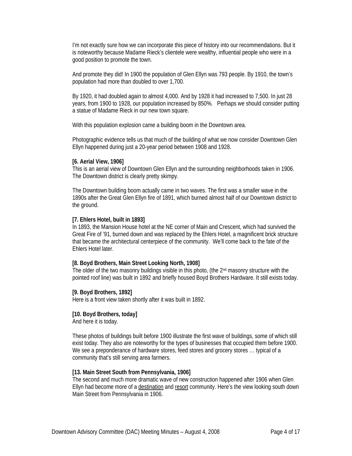I'm not exactly sure how we can incorporate this piece of history into our recommendations. But it is noteworthy because Madame Rieck's clientele were wealthy, influential people who were in a good position to promote the town.

And promote they did! In 1900 the population of Glen Ellyn was 793 people. By 1910, the town's population had more than doubled to over 1,700.

By 1920, it had doubled again to almost 4,000. And by 1928 it had increased to 7,500. In just 28 years, from 1900 to 1928, our population increased by 850%. Perhaps we should consider putting a statue of Madame Rieck in our new town square.

With this population explosion came a building boom in the Downtown area.

Photographic evidence tells us that much of the building of what we now consider Downtown Glen Ellyn happened during just a 20-year period between 1908 and 1928.

#### **[6. Aerial View, 1906]**

This is an aerial view of Downtown Glen Ellyn and the surrounding neighborhoods taken in 1906. The Downtown district is clearly pretty skimpy.

The Downtown building boom actually came in two waves. The first was a smaller wave in the 1890s after the Great Glen Ellyn fire of 1891, which burned almost half of our Downtown district to the ground.

#### **[7. Ehlers Hotel, built in 1893]**

In 1893, the Mansion House hotel at the NE corner of Main and Crescent, which had survived the Great Fire of '91, burned down and was replaced by the Ehlers Hotel, a magnificent brick structure that became the architectural centerpiece of the community. We'll come back to the fate of the Ehlers Hotel later.

#### **[8. Boyd Brothers, Main Street Looking North, 1908]**

The older of the two masonry buildings visible in this photo, (the  $2<sup>nd</sup>$  masonry structure with the pointed roof line) was built in 1892 and briefly housed Boyd Brothers Hardware. It still exists today.

#### **[9. Boyd Brothers, 1892]**

Here is a front view taken shortly after it was built in 1892.

#### **[10. Boyd Brothers, today]**

And here it is today.

These photos of buildings built before 1900 illustrate the first wave of buildings, some of which still exist today. They also are noteworthy for the types of businesses that occupied them before 1900. We see a preponderance of hardware stores, feed stores and grocery stores ... typical of a community that's still serving area farmers.

#### **[13. Main Street South from Pennsylvania, 1906]**

The second and much more dramatic wave of new construction happened after 1906 when Glen Ellyn had become more of a destination and resort community. Here's the view looking south down Main Street from Pennsylvania in 1906.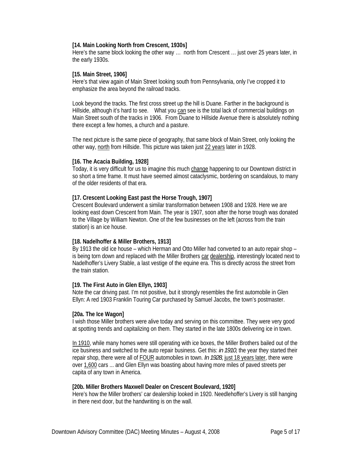#### **[14. Main Looking North from Crescent, 1930s]**

Here's the same block looking the other way … north from Crescent … just over 25 years later, in the early 1930s.

#### **[15. Main Street, 1906]**

Here's that view again of Main Street looking south from Pennsylvania, only I've cropped it to emphasize the area beyond the railroad tracks.

Look beyond the tracks. The first cross street up the hill is Duane. Farther in the background is Hillside, although it's hard to see. What you can see is the total lack of commercial buildings on Main Street south of the tracks in 1906. From Duane to Hillside Avenue there is absolutely nothing there except a few homes, a church and a pasture.

The next picture is the same piece of geography, that same block of Main Street, only looking the other way, north from Hillside. This picture was taken just 22 years later in 1928.

#### **[16. The Acacia Building, 1928]**

Today, it is very difficult for us to imagine this much change happening to our Downtown district in so short a time frame. It must have seemed almost cataclysmic, bordering on scandalous, to many of the older residents of that era.

#### **[17. Crescent Looking East past the Horse Trough, 1907]**

Crescent Boulevard underwent a similar transformation between 1908 and 1928. Here we are looking east down Crescent from Main. The year is 1907, soon after the horse trough was donated to the Village by William Newton. One of the few businesses on the left (across from the train station) is an ice house.

#### **[18. Nadelhoffer & Miller Brothers, 1913]**

By 1913 the old ice house – which Herman and Otto Miller had converted to an auto repair shop – is being torn down and replaced with the Miller Brothers car dealership, interestingly located next to Nadelhoffer's Livery Stable, a last vestige of the equine era. This is directly across the street from the train station.

#### **[19. The First Auto in Glen Ellyn, 1903]**

Note the car driving past. I'm not positive, but it strongly resembles the first automobile in Glen Ellyn: A red 1903 Franklin Touring Car purchased by Samuel Jacobs, the town's postmaster.

#### **[20a. The Ice Wagon]**

I wish those Miller brothers were alive today and serving on this committee. They were very good at spotting trends and capitalizing on them. They started in the late 1800s delivering ice in town.

In 1910, while many homes were still operating with ice boxes, the Miller Brothers bailed out of the ice business and switched to the auto repair business. Get this: *in 1910*, the year they started their repair shop, there were all of **FOUR** automobiles in town. *In 1928*, just 18 years later, there were over 1,600 cars ... and Glen Ellyn was boasting about having more miles of paved streets per capita of any town in America.

#### **[20b. Miller Brothers Maxwell Dealer on Crescent Boulevard, 1920]**

Here's how the Miller brothers' car dealership looked in 1920. Needlehoffer's Livery is still hanging in there next door, but the handwriting is on the wall.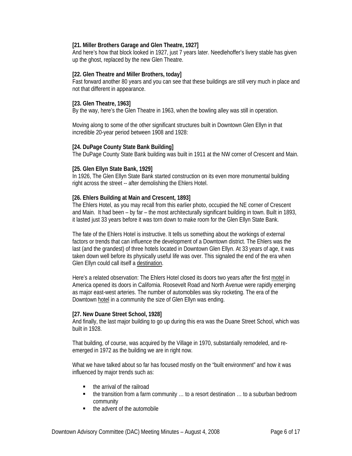# **[21. Miller Brothers Garage and Glen Theatre, 1927]**

And here's how that block looked in 1927, just 7 years later. Needlehoffer's livery stable has given up the ghost, replaced by the new Glen Theatre.

#### **[22. Glen Theatre and Miller Brothers, today]**

Fast forward another 80 years and you can see that these buildings are still very much in place and not that different in appearance.

#### **[23. Glen Theatre, 1963]**

By the way, here's the Glen Theatre in 1963, when the bowling alley was still in operation.

Moving along to some of the other significant structures built in Downtown Glen Ellyn in that incredible 20-year period between 1908 and 1928:

#### **[24. DuPage County State Bank Building]**

The DuPage County State Bank building was built in 1911 at the NW corner of Crescent and Main.

#### **[25. Glen Ellyn State Bank, 1929]**

In 1926, The Glen Ellyn State Bank started construction on its even more monumental building right across the street -- after demolishing the Ehlers Hotel.

# **[26. Ehlers Building at Main and Crescent, 1893]**

The Ehlers Hotel, as you may recall from this earlier photo, occupied the NE corner of Crescent and Main. It had been – by far – the most architecturally significant building in town. Built in 1893, it lasted just 33 years before it was torn down to make room for the Glen Ellyn State Bank.

The fate of the Ehlers Hotel is instructive. It tells us something about the workings of external factors or trends that can influence the development of a Downtown district. The Ehlers was the last (and the grandest) of three hotels located in Downtown Glen Ellyn. At 33 years of age, it was taken down well before its physically useful life was over. This signaled the end of the era when Glen Ellyn could call itself a destination.

Here's a related observation: The Ehlers Hotel closed its doors two years after the first motel in America opened its doors in California. Roosevelt Road and North Avenue were rapidly emerging as major east-west arteries. The number of automobiles was sky rocketing. The era of the Downtown hotel in a community the size of Glen Ellyn was ending.

#### **[27. New Duane Street School, 1928]**

And finally, the last major building to go up during this era was the Duane Street School, which was built in 1928.

That building, of course, was acquired by the Village in 1970, substantially remodeled, and reemerged in 1972 as the building we are in right now.

What we have talked about so far has focused mostly on the "built environment" and how it was influenced by major trends such as:

- the arrival of the railroad
- the transition from a farm community ... to a resort destination ... to a suburban bedroom community
- the advent of the automobile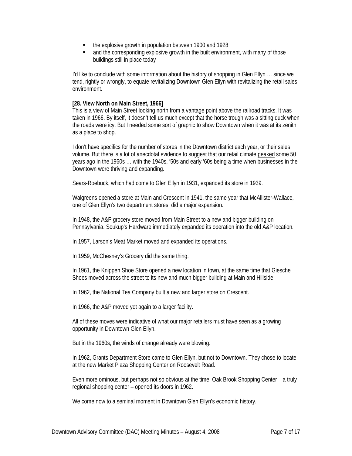- the explosive growth in population between 1900 and 1928
- and the corresponding explosive growth in the built environment, with many of those buildings still in place today

I'd like to conclude with some information about the history of shopping in Glen Ellyn … since we tend, rightly or wrongly, to equate revitalizing Downtown Glen Ellyn with revitalizing the retail sales environment.

#### **[28. View North on Main Street, 1966]**

This is a view of Main Street looking north from a vantage point above the railroad tracks. It was taken in 1966. By itself, it doesn't tell us much except that the horse trough was a sitting duck when the roads were icy. But I needed some sort of graphic to show Downtown when it was at its zenith as a place to shop.

I don't have specifics for the number of stores in the Downtown district each year, or their sales volume. But there is a lot of anecdotal evidence to suggest that our retail climate peaked some 50 years ago in the 1960s … with the 1940s, '50s and early '60s being a time when businesses in the Downtown were thriving and expanding.

Sears-Roebuck, which had come to Glen Ellyn in 1931, expanded its store in 1939.

Walgreens opened a store at Main and Crescent in 1941, the same year that McAllister-Wallace, one of Glen Ellyn's two department stores, did a major expansion.

In 1948, the A&P grocery store moved from Main Street to a new and bigger building on Pennsylvania. Soukup's Hardware immediately expanded its operation into the old A&P location.

In 1957, Larson's Meat Market moved and expanded its operations.

In 1959, McChesney's Grocery did the same thing.

In 1961, the Knippen Shoe Store opened a new location in town, at the same time that Giesche Shoes moved across the street to its new and much bigger building at Main and Hillside.

In 1962, the National Tea Company built a new and larger store on Crescent.

In 1966, the A&P moved yet again to a larger facility.

All of these moves were indicative of what our major retailers must have seen as a growing opportunity in Downtown Glen Ellyn.

But in the 1960s, the winds of change already were blowing.

In 1962, Grants Department Store came to Glen Ellyn, but not to Downtown. They chose to locate at the new Market Plaza Shopping Center on Roosevelt Road.

Even more ominous, but perhaps not so obvious at the time, Oak Brook Shopping Center – a truly regional shopping center – opened its doors in 1962.

We come now to a seminal moment in Downtown Glen Ellyn's economic history.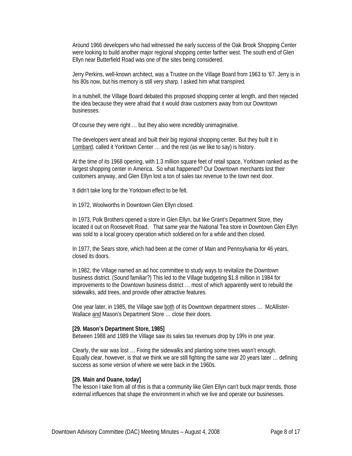Around 1966 developers who had witnessed the early success of the Oak Brook Shopping Center were looking to build another major regional shopping center farther west. The south end of Glen Ellyn near Butterfield Road was one of the sites being considered.

Jerry Perkins, well-known architect, was a Trustee on the Village Board from 1963 to '67. Jerry is in his 80s now, but his memory is still very sharp. I asked him what transpired.

In a nutshell, the Village Board debated this proposed shopping center at length, and then rejected the idea because they were afraid that it would draw customers away from our Downtown businesses.

Of course they were right … but they also were incredibly unimaginative.

The developers went ahead and built their big regional shopping center. But they built it in Lombard, called it Yorktown Center … and the rest (as we like to say) is history.

At the time of its 1968 opening, with 1.3 million square feet of retail space, Yorktown ranked as the largest shopping center in America. So what happened? Our Downtown merchants lost their customers anyway, and Glen Ellyn lost a ton of sales tax revenue to the town next door.

It didn't take long for the Yorktown effect to be felt.

In 1972, Woolworths in Downtown Glen Ellyn closed.

In 1973, Polk Brothers opened a store in Glen Ellyn, but like Grant's Department Store, they located it out on Roosevelt Road. That same year the National Tea store in Downtown Glen Ellyn was sold to a local grocery operation which soldiered on for a while and then closed.

In 1977, the Sears store, which had been at the corner of Main and Pennsylvania for 46 years, closed its doors.

In 1982, the Village named an ad hoc committee to study ways to revitalize the Downtown business district. (Sound familiar?) This led to the Village budgeting \$1.8 million in 1984 for improvements to the Downtown business district … most of which apparently went to rebuild the sidewalks, add trees, and provide other attractive features.

One year later, in 1985, the Village saw both of its Downtown department stores ... McAllister-Wallace and Mason's Department Store ... close their doors.

#### **[29. Mason's Department Store, 1985]**

Between 1988 and 1989 the Village saw its sales tax revenues drop by 19% in one year.

Clearly, the war was lost … Fixing the sidewalks and planting some trees wasn't enough. Equally clear, however, is that we think we are still fighting the same war 20 years later … defining success as some version of where we were back in the 1960s.

#### **[29. Main and Duane, today]**

The lesson I take from all of this is that a community like Glen Ellyn can't buck major trends, those external influences that shape the environment in which we live and operate our businesses.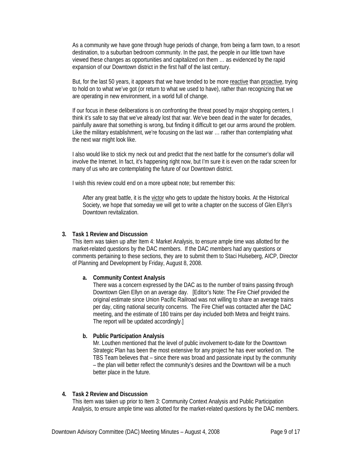As a community we have gone through huge periods of change, from being a farm town, to a resort destination, to a suburban bedroom community. In the past, the people in our little town have viewed these changes as opportunities and capitalized on them … as evidenced by the rapid expansion of our Downtown district in the first half of the last century.

But, for the last 50 years, it appears that we have tended to be more reactive than proactive, trying to hold on to what we've got (or return to what we used to have), rather than recognizing that we are operating in new environment, in a world full of change.

If our focus in these deliberations is on confronting the threat posed by major shopping centers, I think it's safe to say that we've already lost that war. We've been dead in the water for decades, painfully aware that something is wrong, but finding it difficult to get our arms around the problem. Like the military establishment, we're focusing on the last war … rather than contemplating what the next war might look like.

I also would like to stick my neck out and predict that the next battle for the consumer's dollar will involve the Internet. In fact, it's happening right now, but I'm sure it is even on the radar screen for many of us who are contemplating the future of our Downtown district.

I wish this review could end on a more upbeat note; but remember this:

After any great battle, it is the victor who gets to update the history books. At the Historical Society, we hope that someday we will get to write a chapter on the success of Glen Ellyn's Downtown revitalization.

#### **3. Task 1 Review and Discussion**

This item was taken up after Item 4: Market Analysis, to ensure ample time was allotted for the market-related questions by the DAC members. If the DAC members had any questions or comments pertaining to these sections, they are to submit them to Staci Hulseberg, AICP, Director of Planning and Development by Friday, August 8, 2008.

#### **a. Community Context Analysis**

There was a concern expressed by the DAC as to the number of trains passing through Downtown Glen Ellyn on an average day. [Editor's Note: The Fire Chief provided the original estimate since Union Pacific Railroad was not willing to share an average trains per day, citing national security concerns. The Fire Chief was contacted after the DAC meeting, and the estimate of 180 trains per day included both Metra and freight trains. The report will be updated accordingly.]

#### **b. Public Participation Analysis**

Mr. Louthen mentioned that the level of public involvement to-date for the Downtown Strategic Plan has been the most extensive for any project he has ever worked on. The TBS Team believes that – since there was broad and passionate input by the community – the plan will better reflect the community's desires and the Downtown will be a much better place in the future.

#### **4. Task 2 Review and Discussion**

This item was taken up prior to Item 3: Community Context Analysis and Public Participation Analysis, to ensure ample time was allotted for the market-related questions by the DAC members.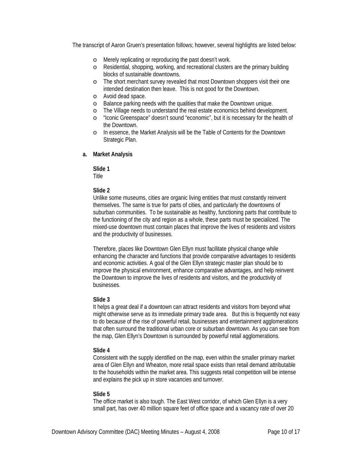The transcript of Aaron Gruen's presentation follows; however, several highlights are listed below:

- o Merely replicating or reproducing the past doesn't work.
- o Residential, shopping, working, and recreational clusters are the primary building blocks of sustainable downtowns.
- o The short merchant survey revealed that most Downtown shoppers visit their one intended destination then leave. This is not good for the Downtown.
- o Avoid dead space.
- o Balance parking needs with the qualities that make the Downtown unique.
- o The Village needs to understand the real estate economics behind development.
- o "Iconic Greenspace" doesn't sound "economic", but it is necessary for the health of the Downtown.
- o In essence, the Market Analysis will be the Table of Contents for the Downtown Strategic Plan.

#### **a. Market Analysis**

**Slide 1** 

Title

#### **Slide 2**

Unlike some museums, cities are organic living entities that must constantly reinvent themselves. The same is true for parts of cities, and particularly the downtowns of suburban communities. To be sustainable as healthy, functioning parts that contribute to the functioning of the city and region as a whole, these parts must be specialized. The mixed-use downtown must contain places that improve the lives of residents and visitors and the productivity of businesses.

Therefore, places like Downtown Glen Ellyn must facilitate physical change while enhancing the character and functions that provide comparative advantages to residents and economic activities. A goal of the Glen Ellyn strategic master plan should be to improve the physical environment, enhance comparative advantages, and help reinvent the Downtown to improve the lives of residents and visitors, and the productivity of businesses.

#### **Slide 3**

It helps a great deal if a downtown can attract residents and visitors from beyond what might otherwise serve as its immediate primary trade area. But this is frequently not easy to do because of the rise of powerful retail, businesses and entertainment agglomerations that often surround the traditional urban core or suburban downtown. As you can see from the map, Glen Ellyn's Downtown is surrounded by powerful retail agglomerations.

#### **Slide 4**

Consistent with the supply identified on the map, even within the smaller primary market area of Glen Ellyn and Wheaton, more retail space exists than retail demand attributable to the households within the market area. This suggests retail competition will be intense and explains the pick up in store vacancies and turnover.

#### **Slide 5**

The office market is also tough. The East West corridor, of which Glen Ellyn is a very small part, has over 40 million square feet of office space and a vacancy rate of over 20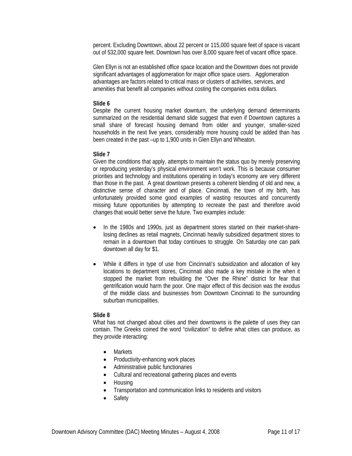percent. Excluding Downtown, about 22 percent or 115,000 square feet of space is vacant out of 532,000 square feet. Downtown has over 8,000 square feet of vacant office space.

Glen Ellyn is not an established office space location and the Downtown does not provide significant advantages of agglomeration for major office space users. Agglomeration advantages are factors related to critical mass or clusters of activities, services, and amenities that benefit all companies without costing the companies extra dollars.

#### **Slide 6**

Despite the current housing market downturn, the underlying demand determinants summarized on the residential demand slide suggest that even if Downtown captures a small share of forecast housing demand from older and younger, smaller-sized households in the next five years, considerably more housing could be added than has been created in the past –up to 1,900 units in Glen Ellyn and Wheaton.

#### **Slide 7**

Given the conditions that apply, attempts to maintain the status quo by merely preserving or reproducing yesterday's physical environment won't work. This is because consumer priorities and technology and institutions operating in today's economy are very different than those in the past. A great downtown presents a coherent blending of old and new, a distinctive sense of character and of place. Cincinnati, the town of my birth, has unfortunately provided some good examples of wasting resources and concurrently missing future opportunities by attempting to recreate the past and therefore avoid changes that would better serve the future. Two examples include:

- In the 1980s and 1990s, just as department stores started on their market-sharelosing declines as retail magnets, Cincinnati heavily subsidized department stores to remain in a downtown that today continues to struggle. On Saturday one can park downtown all day for \$1.
- While it differs in type of use from Cincinnati's subsidization and allocation of key locations to department stores, Cincinnati also made a key mistake in the when it stopped the market from rebuilding the "Over the Rhine" district for fear that gentrification would harm the poor. One major effect of this decision was the exodus of the middle class and businesses from Downtown Cincinnati to the surrounding suburban municipalities.

#### **Slide 8**

What has not changed about cities and their downtowns is the palette of uses they can contain. The Greeks coined the word "civilization" to define what cities can produce, as they provide interacting:

- Markets
- Productivity-enhancing work places
- Administrative public functionaries
- Cultural and recreational gathering places and events
- Housing
- Transportation and communication links to residents and visitors
- **Safety**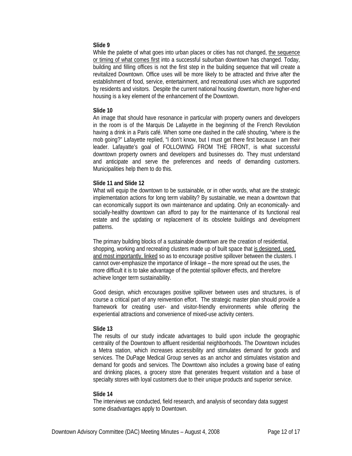#### **Slide 9**

While the palette of what goes into urban places or cities has not changed, the sequence or timing of what comes first into a successful suburban downtown has changed. Today, building and filling offices is not the first step in the building sequence that will create a revitalized Downtown. Office uses will be more likely to be attracted and thrive after the establishment of food, service, entertainment, and recreational uses which are supported by residents and visitors. Despite the current national housing downturn, more higher-end housing is a key element of the enhancement of the Downtown.

#### **Slide 10**

An image that should have resonance in particular with property owners and developers in the room is of the Marquis De Lafayette in the beginning of the French Revolution having a drink in a Paris café. When some one dashed in the café shouting, "where is the mob going?" Lafayette replied, "I don't know, but I must get there first because I am their leader. Lafayatte's goal of FOLLOWING FROM THE FRONT, is what successful downtown property owners and developers and businesses do. They must understand and anticipate and serve the preferences and needs of demanding customers. Municipalities help them to do this.

#### **Slide 11 and Slide 12**

What will equip the downtown to be sustainable, or in other words, what are the strategic implementation actions for long term viability? By sustainable, we mean a downtown that can economically support its own maintenance and updating. Only an economically- and socially-healthy downtown can afford to pay for the maintenance of its functional real estate and the updating or replacement of its obsolete buildings and development patterns.

The primary building blocks of a sustainable downtown are the creation of residential, shopping, working and recreating clusters made up of built space that is designed, used, and most importantly, linked so as to encourage positive spillover between the clusters. I cannot over-emphasize the importance of linkage – the more spread out the uses, the more difficult it is to take advantage of the potential spillover effects, and therefore achieve longer term sustainability.

Good design, which encourages positive spillover between uses and structures, is of course a critical part of any reinvention effort. The strategic master plan should provide a framework for creating user- and visitor-friendly environments while offering the experiential attractions and convenience of mixed-use activity centers.

#### **Slide 13**

The results of our study indicate advantages to build upon include the geographic centrality of the Downtown to affluent residential neighborhoods. The Downtown includes a Metra station, which increases accessibility and stimulates demand for goods and services. The DuPage Medical Group serves as an anchor and stimulates visitation and demand for goods and services. The Downtown also includes a growing base of eating and drinking places, a grocery store that generates frequent visitation and a base of specialty stores with loyal customers due to their unique products and superior service.

#### **Slide 14**

The interviews we conducted, field research, and analysis of secondary data suggest some disadvantages apply to Downtown.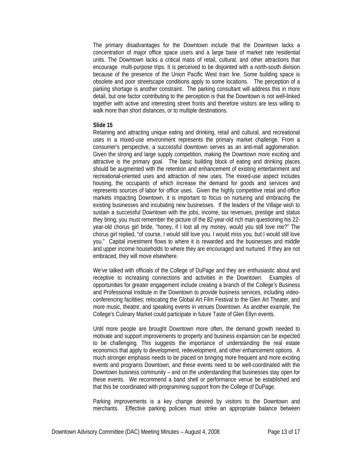The primary disadvantages for the Downtown include that the Downtown lacks a concentration of major office space users and a large base of market rate residential units. The Downtown lacks a critical mass of retail, cultural, and other attractions that encourage multi-purpose trips. It is perceived to be disjointed with a north-south division because of the presence of the Union Pacific West train line. Some building space is obsolete and poor streetscape conditions apply to some locations. The perception of a parking shortage is another constraint. The parking consultant will address this in more detail, but one factor contributing to the perception is that the Downtown is not well-linked together with active and interesting street fronts and therefore visitors are less willing to walk more than short distances, or to multiple destinations.

#### **Slide 15**

Retaining and attracting unique eating and drinking, retail and cultural, and recreational uses in a mixed-use environment represents the primary market challenge. From a consumer's perspective, a successful downtown serves as an anti-mall agglomeration. Given the strong and large supply competition, making the Downtown more exciting and attractive is the primary goal. The basic building block of eating and drinking places should be augmented with the retention and enhancement of existing entertainment and recreational-oriented uses and attraction of new uses. The mixed-use aspect includes housing, the occupants of which increase the demand for goods and services and represents sources of labor for office uses. Given the highly competitive retail and office markets impacting Downtown, it is important to focus on nurturing and embracing the existing businesses and incubating new businesses. If the leaders of the Village wish to sustain a successful Downtown with the jobs, income, tax revenues, prestige and status they bring, you must remember the picture of the 82-year-old rich man questioning his 22 year-old chorus girl bride, "honey, if I lost all my money, would you still love me?" The chorus girl replied, "of course, I would still love you. I would miss you, but I would still love you." Capital investment flows to where it is rewarded and the businesses and middle and upper income households to where they are encouraged and nurtured. If they are not embraced, they will move elsewhere.

We've talked with officials of the College of DuPage and they are enthusiastic about and receptive to increasing connections and activities in the Downtown. Examples of opportunities for greater engagement include creating a branch of the College's Business and Professional Institute in the Downtown to provide business services, including videoconferencing facilities; relocating the Global Art Film Festival to the Glen Art Theater, and more music, theatre, and speaking events in venues Downtown. As another example, the College's Culinary Market could participate in future Taste of Glen Ellyn events.

Until more people are brought Downtown more often, the demand growth needed to motivate and support improvements to property and business expansion can be expected to be challenging. This suggests the importance of understanding the real estate economics that apply to development, redevelopment, and other enhancement options. A much stronger emphasis needs to be placed on bringing more frequent and more exciting events and programs Downtown, and these events need to be well-coordinated with the Downtown business community – and on the understanding that businesses stay open for these events. We recommend a band shell or performance venue be established and that this be coordinated with programming support from the College of DuPage.

Parking improvements is a key change desired by visitors to the Downtown and merchants. Effective parking policies must strike an appropriate balance between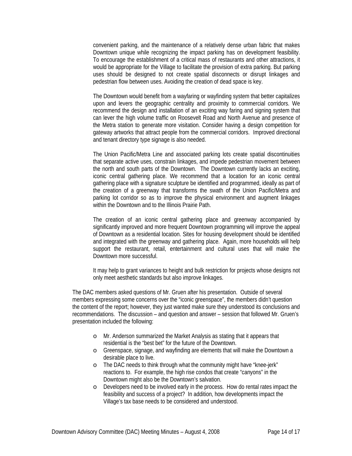convenient parking, and the maintenance of a relatively dense urban fabric that makes Downtown unique while recognizing the impact parking has on development feasibility. To encourage the establishment of a critical mass of restaurants and other attractions, it would be appropriate for the Village to facilitate the provision of extra parking. But parking uses should be designed to not create spatial disconnects or disrupt linkages and pedestrian flow between uses. Avoiding the creation of dead space is key.

The Downtown would benefit from a wayfaring or wayfinding system that better capitalizes upon and levers the geographic centrality and proximity to commercial corridors. We recommend the design and installation of an exciting way faring and signing system that can lever the high volume traffic on Roosevelt Road and North Avenue and presence of the Metra station to generate more visitation. Consider having a design competition for gateway artworks that attract people from the commercial corridors. Improved directional and tenant directory type signage is also needed.

The Union Pacific/Metra Line and associated parking lots create spatial discontinuities that separate active uses, constrain linkages, and impede pedestrian movement between the north and south parts of the Downtown. The Downtown currently lacks an exciting, iconic central gathering place. We recommend that a location for an iconic central gathering place with a signature sculpture be identified and programmed, ideally as part of the creation of a greenway that transforms the swath of the Union Pacific/Metra and parking lot corridor so as to improve the physical environment and augment linkages within the Downtown and to the Illinois Prairie Path.

The creation of an iconic central gathering place and greenway accompanied by significantly improved and more frequent Downtown programming will improve the appeal of Downtown as a residential location. Sites for housing development should be identified and integrated with the greenway and gathering place. Again, more households will help support the restaurant, retail, entertainment and cultural uses that will make the Downtown more successful.

It may help to grant variances to height and bulk restriction for projects whose designs not only meet aesthetic standards but also improve linkages.

The DAC members asked questions of Mr. Gruen after his presentation. Outside of several members expressing some concerns over the "iconic greenspace", the members didn't question the content of the report; however, they just wanted make sure they understood its conclusions and recommendations. The discussion – and question and answer – session that followed Mr. Gruen's presentation included the following:

- o Mr. Anderson summarized the Market Analysis as stating that it appears that residential is the "best bet" for the future of the Downtown.
- o Greenspace, signage, and wayfinding are elements that will make the Downtown a desirable place to live.
- o The DAC needs to think through what the community might have "knee-jerk" reactions to. For example, the high rise condos that create "canyons" in the Downtown might also be the Downtown's salvation.
- o Developers need to be involved early in the process. How do rental rates impact the feasibility and success of a project? In addition, how developments impact the Village's tax base needs to be considered and understood.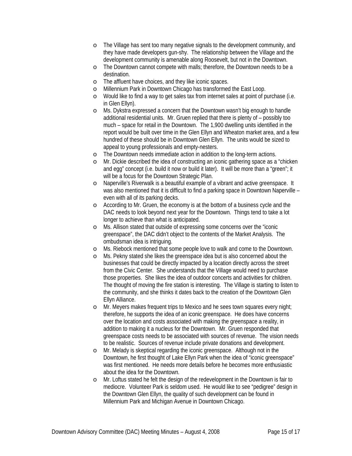- o The Village has sent too many negative signals to the development community, and they have made developers gun-shy. The relationship between the Village and the development community is amenable along Roosevelt, but not in the Downtown.
- o The Downtown cannot compete with malls; therefore, the Downtown needs to be a destination.
- o The affluent have choices, and they like iconic spaces.
- o Millennium Park in Downtown Chicago has transformed the East Loop.
- o Would like to find a way to get sales tax from internet sales at point of purchase (i.e. in Glen Ellyn).
- o Ms. Dykstra expressed a concern that the Downtown wasn't big enough to handle additional residential units. Mr. Gruen replied that there is plenty of – possibly too much – space for retail in the Downtown. The 1,900 dwelling units identified in the report would be built over time in the Glen Ellyn and Wheaton market area, and a few hundred of these should be in Downtown Glen Ellyn. The units would be sized to appeal to young professionals and empty-nesters.
- o The Downtown needs immediate action in addition to the long-term actions.
- o Mr. Dickie described the idea of constructing an iconic gathering space as a "chicken and egg" concept (i.e. build it now or build it later). It will be more than a "green"; it will be a focus for the Downtown Strategic Plan.
- o Naperville's Riverwalk is a beautiful example of a vibrant and active greenspace. It was also mentioned that it is difficult to find a parking space in Downtown Naperville – even with all of its parking decks.
- o According to Mr. Gruen, the economy is at the bottom of a business cycle and the DAC needs to look beyond next year for the Downtown. Things tend to take a lot longer to achieve than what is anticipated.
- o Ms. Allison stated that outside of expressing some concerns over the "iconic greenspace", the DAC didn't object to the contents of the Market Analysis. The ombudsman idea is intriguing.
- o Ms. Riebock mentioned that some people love to walk and come to the Downtown.
- o Ms. Pekny stated she likes the greenspace idea but is also concerned about the businesses that could be directly impacted by a location directly across the street from the Civic Center. She understands that the Village would need to purchase those properties. She likes the idea of outdoor concerts and activities for children. The thought of moving the fire station is interesting. The Village is starting to listen to the community, and she thinks it dates back to the creation of the Downtown Glen Ellyn Alliance.
- o Mr. Meyers makes frequent trips to Mexico and he sees town squares every night; therefore, he supports the idea of an iconic greenspace. He does have concerns over the location and costs associated with making the greenspace a reality, in addition to making it a nucleus for the Downtown. Mr. Gruen responded that greenspace costs needs to be associated with sources of revenue. The vision needs to be realistic. Sources of revenue include private donations and development.
- o Mr. Melady is skeptical regarding the iconic greenspace. Although not in the Downtown, he first thought of Lake Ellyn Park when the idea of "iconic greenspace" was first mentioned. He needs more details before he becomes more enthusiastic about the idea for the Downtown.
- o Mr. Loftus stated he felt the design of the redevelopment in the Downtown is fair to mediocre. Volunteer Park is seldom used. He would like to see "pedigree" design in the Downtown Glen Ellyn, the quality of such development can be found in Millennium Park and Michigan Avenue in Downtown Chicago.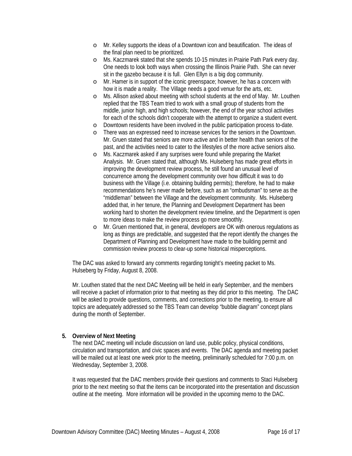- o Mr. Kelley supports the ideas of a Downtown icon and beautification. The ideas of the final plan need to be prioritized.
- o Ms. Kaczmarek stated that she spends 10-15 minutes in Prairie Path Park every day. One needs to look both ways when crossing the Illinois Prairie Path. She can never sit in the gazebo because it is full. Glen Ellyn is a big dog community.
- o Mr. Hamer is in support of the iconic greenspace; however, he has a concern with how it is made a reality. The Village needs a good venue for the arts, etc.
- o Ms. Allison asked about meeting with school students at the end of May. Mr. Louthen replied that the TBS Team tried to work with a small group of students from the middle, junior high, and high schools; however, the end of the year school activities for each of the schools didn't cooperate with the attempt to organize a student event.
- o Downtown residents have been involved in the public participation process to-date.
- o There was an expressed need to increase services for the seniors in the Downtown. Mr. Gruen stated that seniors are more active and in better health than seniors of the past, and the activities need to cater to the lifestyles of the more active seniors also.
- o Ms. Kaczmarek asked if any surprises were found while preparing the Market Analysis. Mr. Gruen stated that, although Ms. Hulseberg has made great efforts in improving the development review process, he still found an unusual level of concurrence among the development community over how difficult it was to do business with the Village (i.e. obtaining building permits); therefore, he had to make recommendations he's never made before, such as an "ombudsman" to serve as the "middleman" between the Village and the development community. Ms. Hulseberg added that, in her tenure, the Planning and Development Department has been working hard to shorten the development review timeline, and the Department is open to more ideas to make the review process go more smoothly.
- o Mr. Gruen mentioned that, in general, developers are OK with onerous regulations as long as things are predictable, and suggested that the report identify the changes the Department of Planning and Development have made to the building permit and commission review process to clear-up some historical misperceptions.

The DAC was asked to forward any comments regarding tonight's meeting packet to Ms. Hulseberg by Friday, August 8, 2008.

Mr. Louthen stated that the next DAC Meeting will be held in early September, and the members will receive a packet of information prior to that meeting as they did prior to this meeting. The DAC will be asked to provide questions, comments, and corrections prior to the meeting, to ensure all topics are adequately addressed so the TBS Team can develop "bubble diagram" concept plans during the month of September.

#### **5. Overview of Next Meeting**

The next DAC meeting will include discussion on land use, public policy, physical conditions, circulation and transportation, and civic spaces and events. The DAC agenda and meeting packet will be mailed out at least one week prior to the meeting, preliminarily scheduled for 7:00 p.m. on Wednesday, September 3, 2008.

It was requested that the DAC members provide their questions and comments to Staci Hulseberg prior to the next meeting so that the items can be incorporated into the presentation and discussion outline at the meeting. More information will be provided in the upcoming memo to the DAC.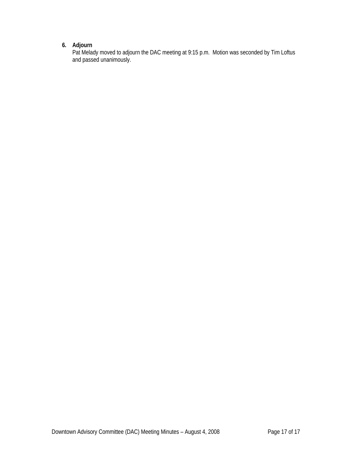# **6. Adjourn**

Pat Melady moved to adjourn the DAC meeting at 9:15 p.m. Motion was seconded by Tim Loftus and passed unanimously.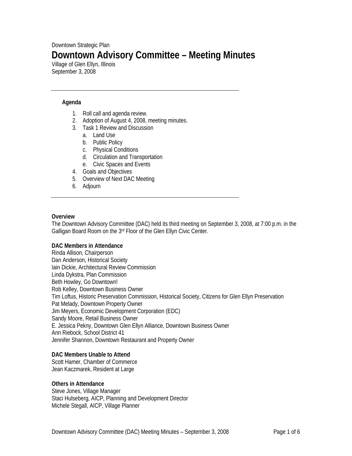# Downtown Strategic Plan **Downtown Advisory Committee – Meeting Minutes**

Village of Glen Ellyn, Illinois September 3, 2008

# **Agenda**

- 1. Roll call and agenda review.
- 2. Adoption of August 4, 2008, meeting minutes.
- 3. Task 1 Review and Discussion
	- a. Land Use
	- b. Public Policy
	- c. Physical Conditions
	- d. Circulation and Transportation
	- e. Civic Spaces and Events
- 4. Goals and Objectives
- 5. Overview of Next DAC Meeting
- 6. Adjourn

#### **Overview**

The Downtown Advisory Committee (DAC) held its third meeting on September 3, 2008, at 7:00 p.m. in the Galligan Board Room on the 3rd Floor of the Glen Ellyn Civic Center.

#### **DAC Members in Attendance**

Rinda Allison, Chairperson Dan Anderson, Historical Society Iain Dickie, Architectural Review Commission Linda Dykstra, Plan Commission Beth Howley, Go Downtown! Rob Kelley, Downtown Business Owner Tim Loftus, Historic Preservation Commission, Historical Society, Citizens for Glen Ellyn Preservation Pat Melady, Downtown Property Owner Jim Meyers, Economic Development Corporation (EDC) Sandy Moore, Retail Business Owner E. Jessica Pekny, Downtown Glen Ellyn Alliance, Downtown Business Owner Ann Riebock, School District 41 Jennifer Shannon, Downtown Restaurant and Property Owner

#### **DAC Members Unable to Attend**

Scott Hamer, Chamber of Commerce Jean Kaczmarek, Resident at Large

#### **Others in Attendance**

Steve Jones, Village Manager Staci Hulseberg, AICP, Planning and Development Director Michele Stegall, AICP, Village Planner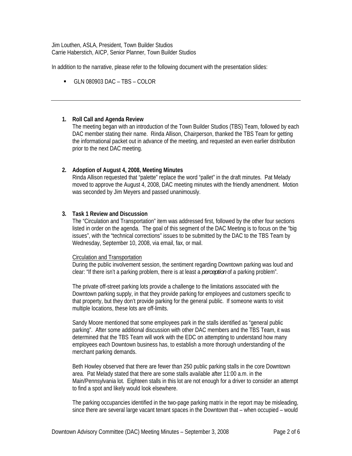Jim Louthen, ASLA, President, Town Builder Studios Carrie Haberstich, AICP, Senior Planner, Town Builder Studios

In addition to the narrative, please refer to the following document with the presentation slides:

GLN 080903 DAC – TBS – COLOR

# **1. Roll Call and Agenda Review**

The meeting began with an introduction of the Town Builder Studios (TBS) Team, followed by each DAC member stating their name. Rinda Allison, Chairperson, thanked the TBS Team for getting the informational packet out in advance of the meeting, and requested an even earlier distribution prior to the next DAC meeting.

# **2. Adoption of August 4, 2008, Meeting Minutes**

Rinda Allison requested that "palette" replace the word "pallet" in the draft minutes. Pat Melady moved to approve the August 4, 2008, DAC meeting minutes with the friendly amendment. Motion was seconded by Jim Meyers and passed unanimously.

# **3. Task 1 Review and Discussion**

The "Circulation and Transportation" item was addressed first, followed by the other four sections listed in order on the agenda. The goal of this segment of the DAC Meeting is to focus on the "big issues", with the "technical corrections" issues to be submitted by the DAC to the TBS Team by Wednesday, September 10, 2008, via email, fax, or mail.

#### Circulation and Transportation

During the public involvement session, the sentiment regarding Downtown parking was loud and clear: "If there isn't a parking problem, there is at least a *perception* of a parking problem".

The private off-street parking lots provide a challenge to the limitations associated with the Downtown parking supply, in that they provide parking for employees and customers specific to that property, but they don't provide parking for the general public. If someone wants to visit multiple locations, these lots are off-limits.

Sandy Moore mentioned that some employees park in the stalls identified as "general public parking". After some additional discussion with other DAC members and the TBS Team, it was determined that the TBS Team will work with the EDC on attempting to understand how many employees each Downtown business has, to establish a more thorough understanding of the merchant parking demands.

Beth Howley observed that there are fewer than 250 public parking stalls in the core Downtown area. Pat Melady stated that there are some stalls available after 11:00 a.m. in the Main/Pennsylvania lot. Eighteen stalls in this lot are not enough for a driver to consider an attempt to find a spot and likely would look elsewhere.

The parking occupancies identified in the two-page parking matrix in the report may be misleading, since there are several large vacant tenant spaces in the Downtown that – when occupied – would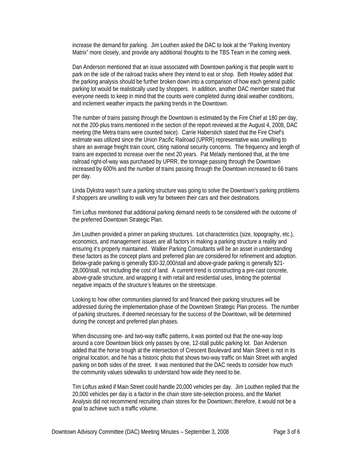increase the demand for parking. Jim Louthen asked the DAC to look at the "Parking Inventory Matrix" more closely, and provide any additional thoughts to the TBS Team in the coming week.

Dan Anderson mentioned that an issue associated with Downtown parking is that people want to park on the side of the railroad tracks where they intend to eat or shop. Beth Howley added that the parking analysis should be further broken down into a comparison of how each general public parking lot would be realistically used by shoppers. In addition, another DAC member stated that everyone needs to keep in mind that the counts were completed during ideal weather conditions, and inclement weather impacts the parking trends in the Downtown.

The number of trains passing through the Downtown is estimated by the Fire Chief at 180 per day, not the 200-plus trains mentioned in the section of the report reviewed at the August 4, 2008, DAC meeting (the Metra trains were counted twice). Carrie Haberstich stated that the Fire Chief's estimate was utilized since the Union Pacific Railroad (UPRR) representative was unwilling to share an average freight train count, citing national security concerns. The frequency and length of trains are expected to increase over the next 20 years. Pat Melady mentioned that, at the time railroad right-of-way was purchased by UPRR, the tonnage passing through the Downtown increased by 600% and the number of trains passing through the Downtown increased to 66 trains per day.

Linda Dykstra wasn't sure a parking structure was going to solve the Downtown's parking problems if shoppers are unwilling to walk very far between their cars and their destinations.

Tim Loftus mentioned that additional parking demand needs to be considered with the outcome of the preferred Downtown Strategic Plan.

Jim Louthen provided a primer on parking structures. Lot characteristics (size, topography, etc.), economics, and management issues are all factors in making a parking structure a reality and ensuring it's properly maintained. Walker Parking Consultants will be an asset in understanding these factors as the concept plans and preferred plan are considered for refinement and adoption. Below-grade parking is generally \$30-32,000/stall and above-grade parking is generally \$21- 28,000/stall, not including the cost of land. A current trend is constructing a pre-cast concrete, above-grade structure, and wrapping it with retail and residential uses, limiting the potential negative impacts of the structure's features on the streetscape.

Looking to how other communities planned for and financed their parking structures will be addressed during the implementation phase of the Downtown Strategic Plan process. The number of parking structures, if deemed necessary for the success of the Downtown, will be determined during the concept and preferred plan phases.

When discussing one- and two-way traffic patterns, it was pointed out that the one-way loop around a core Downtown block only passes by one, 12-stall public parking lot. Dan Anderson added that the horse trough at the intersection of Crescent Boulevard and Main Street is not in its original location, and he has a historic photo that shows two-way traffic on Main Street with angled parking on both sides of the street. It was mentioned that the DAC needs to consider how much the community values sidewalks to understand how wide they need to be.

Tim Loftus asked if Main Street could handle 20,000 vehicles per day. Jim Louthen replied that the 20,000 vehicles per day is a factor in the chain store site-selection process, and the Market Analysis did not recommend recruiting chain stores for the Downtown; therefore, it would not be a goal to achieve such a traffic volume.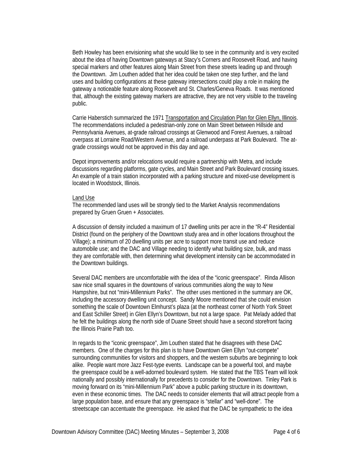Beth Howley has been envisioning what she would like to see in the community and is very excited about the idea of having Downtown gateways at Stacy's Corners and Roosevelt Road, and having special markers and other features along Main Street from these streets leading up and through the Downtown. Jim Louthen added that her idea could be taken one step further, and the land uses and building configurations at these gateway intersections could play a role in making the gateway a noticeable feature along Roosevelt and St. Charles/Geneva Roads. It was mentioned that, although the existing gateway markers are attractive, they are not very visible to the traveling public.

Carrie Haberstich summarized the 1971 Transportation and Circulation Plan for Glen Ellyn, Illinois. The recommendations included a pedestrian-only zone on Main Street between Hillside and Pennsylvania Avenues, at-grade railroad crossings at Glenwood and Forest Avenues, a railroad overpass at Lorraine Road/Western Avenue, and a railroad underpass at Park Boulevard. The atgrade crossings would not be approved in this day and age.

Depot improvements and/or relocations would require a partnership with Metra, and include discussions regarding platforms, gate cycles, and Main Street and Park Boulevard crossing issues. An example of a train station incorporated with a parking structure and mixed-use development is located in Woodstock, Illinois.

#### Land Use

The recommended land uses will be strongly tied to the Market Analysis recommendations prepared by Gruen Gruen + Associates.

A discussion of density included a maximum of 17 dwelling units per acre in the "R-4" Residential District (found on the periphery of the Downtown study area and in other locations throughout the Village); a minimum of 20 dwelling units per acre to support more transit use and reduce automobile use; and the DAC and Village needing to identify what building size, bulk, and mass they are comfortable with, then determining what development intensity can be accommodated in the Downtown buildings.

Several DAC members are uncomfortable with the idea of the "iconic greenspace". Rinda Allison saw nice small squares in the downtowns of various communities along the way to New Hampshire, but not "mini-Millennium Parks". The other uses mentioned in the summary are OK, including the accessory dwelling unit concept. Sandy Moore mentioned that she could envision something the scale of Downtown Elmhurst's plaza (at the northeast corner of North York Street and East Schiller Street) in Glen Ellyn's Downtown, but not a large space. Pat Melady added that he felt the buildings along the north side of Duane Street should have a second storefront facing the Illinois Prairie Path too.

In regards to the "iconic greenspace", Jim Louthen stated that he disagrees with these DAC members. One of the charges for this plan is to have Downtown Glen Ellyn "out-compete" surrounding communities for visitors and shoppers, and the western suburbs are beginning to look alike. People want more Jazz Fest-type events. Landscape can be a powerful tool, and maybe the greenspace could be a well-adorned boulevard system. He stated that the TBS Team will look nationally and possibly internationally for precedents to consider for the Downtown. Tinley Park is moving forward on its "mini-Millennium Park" above a public parking structure in its downtown, even in these economic times. The DAC needs to consider elements that will attract people from a large population base, and ensure that any greenspace is "stellar" and "well-done". The streetscape can accentuate the greenspace. He asked that the DAC be sympathetic to the idea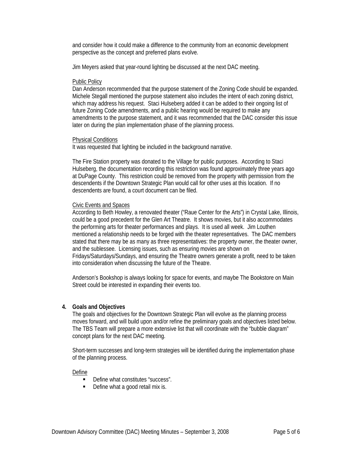and consider how it could make a difference to the community from an economic development perspective as the concept and preferred plans evolve.

Jim Meyers asked that year-round lighting be discussed at the next DAC meeting.

#### Public Policy

Dan Anderson recommended that the purpose statement of the Zoning Code should be expanded. Michele Stegall mentioned the purpose statement also includes the intent of each zoning district, which may address his request. Staci Hulseberg added it can be added to their ongoing list of future Zoning Code amendments, and a public hearing would be required to make any amendments to the purpose statement, and it was recommended that the DAC consider this issue later on during the plan implementation phase of the planning process.

#### Physical Conditions

It was requested that lighting be included in the background narrative.

The Fire Station property was donated to the Village for public purposes. According to Staci Hulseberg, the documentation recording this restriction was found approximately three years ago at DuPage County. This restriction could be removed from the property with permission from the descendents if the Downtown Strategic Plan would call for other uses at this location. If no descendents are found, a court document can be filed.

#### Civic Events and Spaces

According to Beth Howley, a renovated theater ("Raue Center for the Arts") in Crystal Lake, Illinois, could be a good precedent for the Glen Art Theatre. It shows movies, but it also accommodates the performing arts for theater performances and plays. It is used all week. Jim Louthen mentioned a relationship needs to be forged with the theater representatives. The DAC members stated that there may be as many as three representatives: the property owner, the theater owner, and the sublessee. Licensing issues, such as ensuring movies are shown on Fridays/Saturdays/Sundays, and ensuring the Theatre owners generate a profit, need to be taken into consideration when discussing the future of the Theatre.

Anderson's Bookshop is always looking for space for events, and maybe The Bookstore on Main Street could be interested in expanding their events too.

#### **4. Goals and Objectives**

The goals and objectives for the Downtown Strategic Plan will evolve as the planning process moves forward, and will build upon and/or refine the preliminary goals and objectives listed below. The TBS Team will prepare a more extensive list that will coordinate with the "bubble diagram" concept plans for the next DAC meeting.

Short-term successes and long-term strategies will be identified during the implementation phase of the planning process.

#### Define

- Define what constitutes "success".
- Define what a good retail mix is.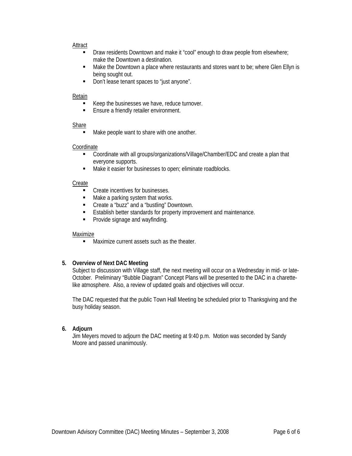#### Attract

- **Draw residents Downtown and make it "cool" enough to draw people from elsewhere;** make the Downtown a destination.
- **Make the Downtown a place where restaurants and stores want to be; where Glen Ellyn is** being sought out.
- **-** Don't lease tenant spaces to "just anyone".

#### Retain

- Keep the businesses we have, reduce turnover.
- **Ensure a friendly retailer environment.**

#### Share

Make people want to share with one another.

#### Coordinate

- Coordinate with all groups/organizations/Village/Chamber/EDC and create a plan that everyone supports.
- Make it easier for businesses to open; eliminate roadblocks.

#### Create

- Create incentives for businesses.
- Make a parking system that works.
- Create a "buzz" and a "bustling" Downtown.
- **Establish better standards for property improvement and maintenance.**
- **•** Provide signage and wayfinding.

#### Maximize

**Maximize current assets such as the theater.** 

#### **5. Overview of Next DAC Meeting**

Subject to discussion with Village staff, the next meeting will occur on a Wednesday in mid- or late-October. Preliminary "Bubble Diagram" Concept Plans will be presented to the DAC in a charettelike atmosphere. Also, a review of updated goals and objectives will occur.

The DAC requested that the public Town Hall Meeting be scheduled prior to Thanksgiving and the busy holiday season.

## **6. Adjourn**

Jim Meyers moved to adjourn the DAC meeting at 9:40 p.m. Motion was seconded by Sandy Moore and passed unanimously.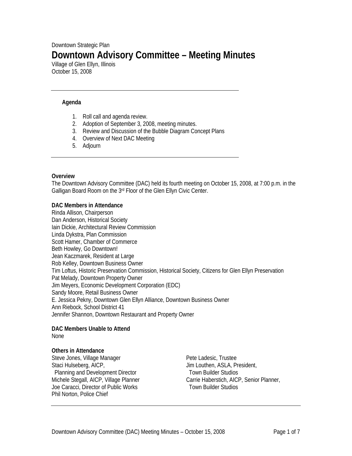# Downtown Strategic Plan **Downtown Advisory Committee – Meeting Minutes**

Village of Glen Ellyn, Illinois October 15, 2008

## **Agenda**

- 1. Roll call and agenda review.
- 2. Adoption of September 3, 2008, meeting minutes.
- 3. Review and Discussion of the Bubble Diagram Concept Plans
- 4. Overview of Next DAC Meeting
- 5. Adjourn

#### **Overview**

The Downtown Advisory Committee (DAC) held its fourth meeting on October 15, 2008, at 7:00 p.m. in the Galligan Board Room on the 3rd Floor of the Glen Ellyn Civic Center.

#### **DAC Members in Attendance**

Rinda Allison, Chairperson Dan Anderson, Historical Society Iain Dickie, Architectural Review Commission Linda Dykstra, Plan Commission Scott Hamer, Chamber of Commerce Beth Howley, Go Downtown! Jean Kaczmarek, Resident at Large Rob Kelley, Downtown Business Owner Tim Loftus, Historic Preservation Commission, Historical Society, Citizens for Glen Ellyn Preservation Pat Melady, Downtown Property Owner Jim Meyers, Economic Development Corporation (EDC) Sandy Moore, Retail Business Owner E. Jessica Pekny, Downtown Glen Ellyn Alliance, Downtown Business Owner Ann Riebock, School District 41 Jennifer Shannon, Downtown Restaurant and Property Owner

#### **DAC Members Unable to Attend**  None

#### **Others in Attendance**

Steve Jones, Village Manager Staci Hulseberg, AICP, Planning and Development Director Michele Stegall, AICP, Village Planner Joe Caracci, Director of Public Works Phil Norton, Police Chief

Pete Ladesic, Trustee Jim Louthen, ASLA, President, Town Builder Studios Carrie Haberstich, AICP, Senior Planner, Town Builder Studios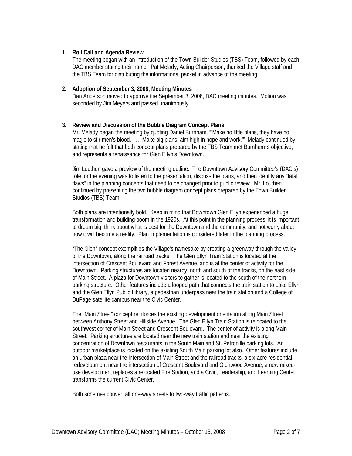## **1. Roll Call and Agenda Review**

The meeting began with an introduction of the Town Builder Studios (TBS) Team, followed by each DAC member stating their name. Pat Melady, Acting Chairperson, thanked the Village staff and the TBS Team for distributing the informational packet in advance of the meeting.

## **2. Adoption of September 3, 2008, Meeting Minutes**

Dan Anderson moved to approve the September 3, 2008, DAC meeting minutes. Motion was seconded by Jim Meyers and passed unanimously.

# **3. Review and Discussion of the Bubble Diagram Concept Plans**

Mr. Melady began the meeting by quoting Daniel Burnham. "'Make no little plans, they have no magic to stir men's blood. ... Make big plans, aim high in hope and work." Melady continued by stating that he felt that both concept plans prepared by the TBS Team met Burnham's objective, and represents a renaissance for Glen Ellyn's Downtown.

Jim Louthen gave a preview of the meeting outline. The Downtown Advisory Committee's (DAC's) role for the evening was to listen to the presentation, discuss the plans, and then identify any "fatal flaws" in the planning concepts that need to be changed prior to public review. Mr. Louthen continued by presenting the two bubble diagram concept plans prepared by the Town Builder Studios (TBS) Team.

Both plans are intentionally bold. Keep in mind that Downtown Glen Ellyn experienced a huge transformation and building boom in the 1920s. At this point in the planning process, it is important to dream big, think about what is best for the Downtown and the community, and not worry about how it will become a reality. Plan implementation is considered later in the planning process.

"The Glen" concept exemplifies the Village's namesake by creating a greenway through the valley of the Downtown, along the railroad tracks. The Glen Ellyn Train Station is located at the intersection of Crescent Boulevard and Forest Avenue, and is at the center of activity for the Downtown. Parking structures are located nearby, north and south of the tracks, on the east side of Main Street. A plaza for Downtown visitors to gather is located to the south of the northern parking structure. Other features include a looped path that connects the train station to Lake Ellyn and the Glen Ellyn Public Library, a pedestrian underpass near the train station and a College of DuPage satellite campus near the Civic Center.

The "Main Street" concept reinforces the existing development orientation along Main Street between Anthony Street and Hillside Avenue. The Glen Ellyn Train Station is relocated to the southwest corner of Main Street and Crescent Boulevard. The center of activity is along Main Street. Parking structures are located near the new train station and near the existing concentration of Downtown restaurants in the South Main and St. Petronille parking lots. An outdoor marketplace is located on the existing South Main parking lot also. Other features include an urban plaza near the intersection of Main Street and the railroad tracks, a six-acre residential redevelopment near the intersection of Crescent Boulevard and Glenwood Avenue, a new mixeduse development replaces a relocated Fire Station, and a Civic, Leadership, and Learning Center transforms the current Civic Center.

Both schemes convert all one-way streets to two-way traffic patterns.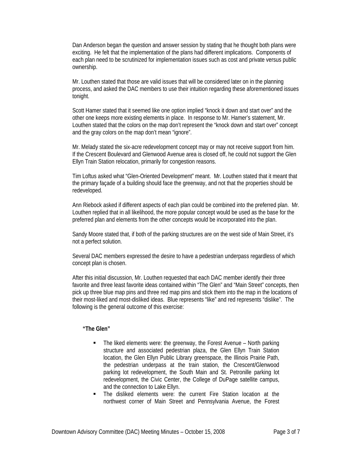Dan Anderson began the question and answer session by stating that he thought both plans were exciting. He felt that the implementation of the plans had different implications. Components of each plan need to be scrutinized for implementation issues such as cost and private versus public ownership.

Mr. Louthen stated that those are valid issues that will be considered later on in the planning process, and asked the DAC members to use their intuition regarding these aforementioned issues tonight.

Scott Hamer stated that it seemed like one option implied "knock it down and start over" and the other one keeps more existing elements in place. In response to Mr. Hamer's statement, Mr. Louthen stated that the colors on the map don't represent the "knock down and start over" concept and the gray colors on the map don't mean "ignore".

Mr. Melady stated the six-acre redevelopment concept may or may not receive support from him. If the Crescent Boulevard and Glenwood Avenue area is closed off, he could not support the Glen Ellyn Train Station relocation, primarily for congestion reasons.

Tim Loftus asked what "Glen-Oriented Development" meant. Mr. Louthen stated that it meant that the primary façade of a building should face the greenway, and not that the properties should be redeveloped.

Ann Riebock asked if different aspects of each plan could be combined into the preferred plan. Mr. Louthen replied that in all likelihood, the more popular concept would be used as the base for the preferred plan and elements from the other concepts would be incorporated into the plan.

Sandy Moore stated that, if both of the parking structures are on the west side of Main Street, it's not a perfect solution.

Several DAC members expressed the desire to have a pedestrian underpass regardless of which concept plan is chosen.

After this initial discussion, Mr. Louthen requested that each DAC member identify their three favorite and three least favorite ideas contained within "The Glen" and "Main Street" concepts, then pick up three blue map pins and three red map pins and stick them into the map in the locations of their most-liked and most-disliked ideas. Blue represents "like" and red represents "dislike". The following is the general outcome of this exercise:

#### **"The Glen"**

- The liked elements were: the greenway, the Forest Avenue North parking structure and associated pedestrian plaza, the Glen Ellyn Train Station location, the Glen Ellyn Public Library greenspace, the Illinois Prairie Path, the pedestrian underpass at the train station, the Crescent/Glenwood parking lot redevelopment, the South Main and St. Petronille parking lot redevelopment, the Civic Center, the College of DuPage satellite campus, and the connection to Lake Ellyn.
- The disliked elements were: the current Fire Station location at the northwest corner of Main Street and Pennsylvania Avenue, the Forest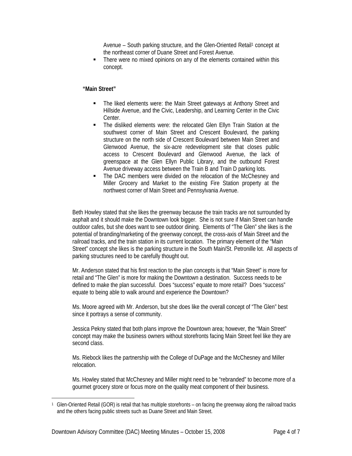Avenue – South parking structure, and the Glen-Oriented Retail<sup>1</sup> concept at the northeast corner of Duane Street and Forest Avenue.

 There were no mixed opinions on any of the elements contained within this concept.

## **"Main Street"**

- The liked elements were: the Main Street gateways at Anthony Street and Hillside Avenue, and the Civic, Leadership, and Learning Center in the Civic Center.
- The disliked elements were: the relocated Glen Ellyn Train Station at the southwest corner of Main Street and Crescent Boulevard, the parking structure on the north side of Crescent Boulevard between Main Street and Glenwood Avenue, the six-acre redevelopment site that closes public access to Crescent Boulevard and Glenwood Avenue, the lack of greenspace at the Glen Ellyn Public Library, and the outbound Forest Avenue driveway access between the Train B and Train D parking lots.
- The DAC members were divided on the relocation of the McChesney and Miller Grocery and Market to the existing Fire Station property at the northwest corner of Main Street and Pennsylvania Avenue.

Beth Howley stated that she likes the greenway because the train tracks are not surrounded by asphalt and it should make the Downtown look bigger. She is not sure if Main Street can handle outdoor cafes, but she does want to see outdoor dining. Elements of "The Glen" she likes is the potential of branding/marketing of the greenway concept, the cross-axis of Main Street and the railroad tracks, and the train station in its current location. The primary element of the "Main Street" concept she likes is the parking structure in the South Main/St. Petronille lot. All aspects of parking structures need to be carefully thought out.

Mr. Anderson stated that his first reaction to the plan concepts is that "Main Street" is more for retail and "The Glen" is more for making the Downtown a destination. Success needs to be defined to make the plan successful. Does "success" equate to more retail? Does "success" equate to being able to walk around and experience the Downtown?

Ms. Moore agreed with Mr. Anderson, but she does like the overall concept of "The Glen" best since it portrays a sense of community.

Jessica Pekny stated that both plans improve the Downtown area; however, the "Main Street" concept may make the business owners without storefronts facing Main Street feel like they are second class.

Ms. Riebock likes the partnership with the College of DuPage and the McChesney and Miller relocation.

Ms. Howley stated that McChesney and Miller might need to be "rebranded" to become more of a gourmet grocery store or focus more on the quality meat component of their business.

 $\overline{a}$ 

<sup>1</sup> Glen-Oriented Retail (GOR) is retail that has multiple storefronts – on facing the greenway along the railroad tracks and the others facing public streets such as Duane Street and Main Street.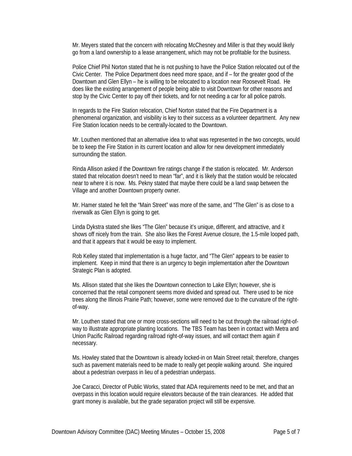Mr. Meyers stated that the concern with relocating McChesney and Miller is that they would likely go from a land ownership to a lease arrangement, which may not be profitable for the business.

Police Chief Phil Norton stated that he is not pushing to have the Police Station relocated out of the Civic Center. The Police Department does need more space, and if – for the greater good of the Downtown and Glen Ellyn – he is willing to be relocated to a location near Roosevelt Road. He does like the existing arrangement of people being able to visit Downtown for other reasons and stop by the Civic Center to pay off their tickets, and for not needing a car for all police patrols.

In regards to the Fire Station relocation, Chief Norton stated that the Fire Department is a phenomenal organization, and visibility is key to their success as a volunteer department. Any new Fire Station location needs to be centrally-located to the Downtown.

Mr. Louthen mentioned that an alternative idea to what was represented in the two concepts, would be to keep the Fire Station in its current location and allow for new development immediately surrounding the station.

Rinda Allison asked if the Downtown fire ratings change if the station is relocated. Mr. Anderson stated that relocation doesn't need to mean "far", and it is likely that the station would be relocated near to where it is now. Ms. Pekny stated that maybe there could be a land swap between the Village and another Downtown property owner.

Mr. Hamer stated he felt the "Main Street" was more of the same, and "The Glen" is as close to a riverwalk as Glen Ellyn is going to get.

Linda Dykstra stated she likes "The Glen" because it's unique, different, and attractive, and it shows off nicely from the train. She also likes the Forest Avenue closure, the 1.5-mile looped path, and that it appears that it would be easy to implement.

Rob Kelley stated that implementation is a huge factor, and "The Glen" appears to be easier to implement. Keep in mind that there is an urgency to begin implementation after the Downtown Strategic Plan is adopted.

Ms. Allison stated that she likes the Downtown connection to Lake Ellyn; however, she is concerned that the retail component seems more divided and spread out. There used to be nice trees along the Illinois Prairie Path; however, some were removed due to the curvature of the rightof-way.

Mr. Louthen stated that one or more cross-sections will need to be cut through the railroad right-ofway to illustrate appropriate planting locations. The TBS Team has been in contact with Metra and Union Pacific Railroad regarding railroad right-of-way issues, and will contact them again if necessary.

Ms. Howley stated that the Downtown is already locked-in on Main Street retail; therefore, changes such as pavement materials need to be made to really get people walking around. She inquired about a pedestrian overpass in lieu of a pedestrian underpass.

Joe Caracci, Director of Public Works, stated that ADA requirements need to be met, and that an overpass in this location would require elevators because of the train clearances. He added that grant money is available, but the grade separation project will still be expensive.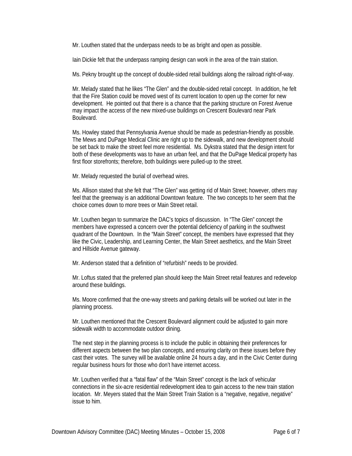Mr. Louthen stated that the underpass needs to be as bright and open as possible.

Iain Dickie felt that the underpass ramping design can work in the area of the train station.

Ms. Pekny brought up the concept of double-sided retail buildings along the railroad right-of-way.

Mr. Melady stated that he likes "The Glen" and the double-sided retail concept. In addition, he felt that the Fire Station could be moved west of its current location to open up the corner for new development. He pointed out that there is a chance that the parking structure on Forest Avenue may impact the access of the new mixed-use buildings on Crescent Boulevard near Park Boulevard.

Ms. Howley stated that Pennsylvania Avenue should be made as pedestrian-friendly as possible. The Mews and DuPage Medical Clinic are right up to the sidewalk, and new development should be set back to make the street feel more residential. Ms. Dykstra stated that the design intent for both of these developments was to have an urban feel, and that the DuPage Medical property has first floor storefronts; therefore, both buildings were pulled-up to the street.

Mr. Melady requested the burial of overhead wires.

Ms. Allison stated that she felt that "The Glen" was getting rid of Main Street; however, others may feel that the greenway is an additional Downtown feature. The two concepts to her seem that the choice comes down to more trees or Main Street retail.

Mr. Louthen began to summarize the DAC's topics of discussion. In "The Glen" concept the members have expressed a concern over the potential deficiency of parking in the southwest quadrant of the Downtown. In the "Main Street" concept, the members have expressed that they like the Civic, Leadership, and Learning Center, the Main Street aesthetics, and the Main Street and Hillside Avenue gateway.

Mr. Anderson stated that a definition of "refurbish" needs to be provided.

Mr. Loftus stated that the preferred plan should keep the Main Street retail features and redevelop around these buildings.

Ms. Moore confirmed that the one-way streets and parking details will be worked out later in the planning process.

Mr. Louthen mentioned that the Crescent Boulevard alignment could be adjusted to gain more sidewalk width to accommodate outdoor dining.

The next step in the planning process is to include the public in obtaining their preferences for different aspects between the two plan concepts, and ensuring clarity on these issues before they cast their votes. The survey will be available online 24 hours a day, and in the Civic Center during regular business hours for those who don't have internet access.

Mr. Louthen verified that a "fatal flaw" of the "Main Street" concept is the lack of vehicular connections in the six-acre residential redevelopment idea to gain access to the new train station location. Mr. Meyers stated that the Main Street Train Station is a "negative, negative, negative" issue to him.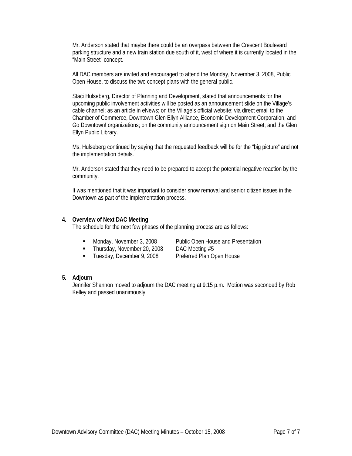Mr. Anderson stated that maybe there could be an overpass between the Crescent Boulevard parking structure and a new train station due south of it, west of where it is currently located in the "Main Street" concept.

All DAC members are invited and encouraged to attend the Monday, November 3, 2008, Public Open House, to discuss the two concept plans with the general public.

Staci Hulseberg, Director of Planning and Development, stated that announcements for the upcoming public involvement activities will be posted as an announcement slide on the Village's cable channel; as an article in eNews; on the Village's official website; via direct email to the Chamber of Commerce, Downtown Glen Ellyn Alliance, Economic Development Corporation, and Go Downtown! organizations; on the community announcement sign on Main Street; and the Glen Ellyn Public Library.

Ms. Hulseberg continued by saying that the requested feedback will be for the "big picture" and not the implementation details.

Mr. Anderson stated that they need to be prepared to accept the potential negative reaction by the community.

It was mentioned that it was important to consider snow removal and senior citizen issues in the Downtown as part of the implementation process.

#### **4. Overview of Next DAC Meeting**

The schedule for the next few phases of the planning process are as follows:

- 
- Thursday, November 20, 2008 DAC Meeting #5
- **Tuesday, December 9, 2008** Preferred Plan Open House

■ Monday, November 3, 2008 Public Open House and Presentation

#### **5. Adjourn**

Jennifer Shannon moved to adjourn the DAC meeting at 9:15 p.m. Motion was seconded by Rob Kelley and passed unanimously.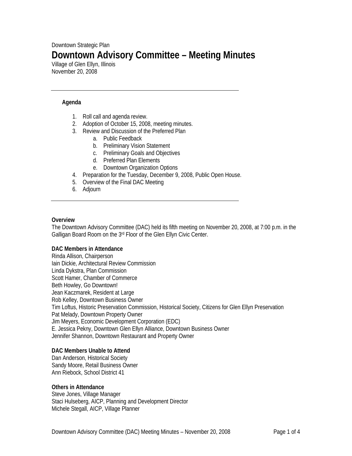# Downtown Strategic Plan **Downtown Advisory Committee – Meeting Minutes**

Village of Glen Ellyn, Illinois November 20, 2008

#### **Agenda**

- 1. Roll call and agenda review.
- 2. Adoption of October 15, 2008, meeting minutes.
- 3. Review and Discussion of the Preferred Plan
	- a. Public Feedback
		- b. Preliminary Vision Statement
		- c. Preliminary Goals and Objectives
		- d. Preferred Plan Elements
		- e. Downtown Organization Options
- 4. Preparation for the Tuesday, December 9, 2008, Public Open House.
- 5. Overview of the Final DAC Meeting
- 6. Adjourn

#### **Overview**

The Downtown Advisory Committee (DAC) held its fifth meeting on November 20, 2008, at 7:00 p.m. in the Galligan Board Room on the 3rd Floor of the Glen Ellyn Civic Center.

#### **DAC Members in Attendance**

Rinda Allison, Chairperson Iain Dickie, Architectural Review Commission Linda Dykstra, Plan Commission Scott Hamer, Chamber of Commerce Beth Howley, Go Downtown! Jean Kaczmarek, Resident at Large Rob Kelley, Downtown Business Owner Tim Loftus, Historic Preservation Commission, Historical Society, Citizens for Glen Ellyn Preservation Pat Melady, Downtown Property Owner Jim Meyers, Economic Development Corporation (EDC) E. Jessica Pekny, Downtown Glen Ellyn Alliance, Downtown Business Owner Jennifer Shannon, Downtown Restaurant and Property Owner

#### **DAC Members Unable to Attend**

Dan Anderson, Historical Society Sandy Moore, Retail Business Owner Ann Riebock, School District 41

#### **Others in Attendance**

Steve Jones, Village Manager Staci Hulseberg, AICP, Planning and Development Director Michele Stegall, AICP, Village Planner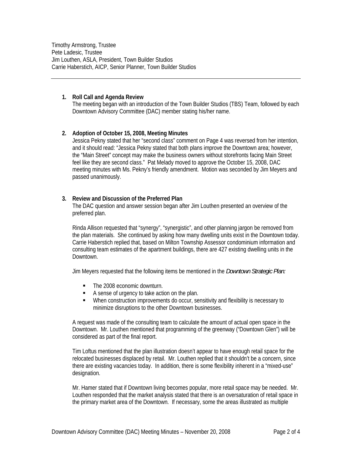Timothy Armstrong, Trustee Pete Ladesic, Trustee Jim Louthen, ASLA, President, Town Builder Studios Carrie Haberstich, AICP, Senior Planner, Town Builder Studios

#### **1. Roll Call and Agenda Review**

The meeting began with an introduction of the Town Builder Studios (TBS) Team, followed by each Downtown Advisory Committee (DAC) member stating his/her name.

#### **2. Adoption of October 15, 2008, Meeting Minutes**

Jessica Pekny stated that her "second class" comment on Page 4 was reversed from her intention, and it should read: "Jessica Pekny stated that both plans improve the Downtown area; however, the "Main Street" concept may make the business owners without storefronts facing Main Street feel like they are second class." Pat Melady moved to approve the October 15, 2008, DAC meeting minutes with Ms. Pekny's friendly amendment. Motion was seconded by Jim Meyers and passed unanimously.

#### **3. Review and Discussion of the Preferred Plan**

The DAC question and answer session began after Jim Louthen presented an overview of the preferred plan.

Rinda Allison requested that "synergy", "synergistic", and other planning jargon be removed from the plan materials. She continued by asking how many dwelling units exist in the Downtown today. Carrie Haberstich replied that, based on Milton Township Assessor condominium information and consulting team estimates of the apartment buildings, there are 427 existing dwelling units in the Downtown.

Jim Meyers requested that the following items be mentioned in the *Downtown Strategic Plan:*

- The 2008 economic downturn.
- A sense of urgency to take action on the plan.
- When construction improvements do occur, sensitivity and flexibility is necessary to minimize disruptions to the other Downtown businesses.

A request was made of the consulting team to calculate the amount of actual open space in the Downtown. Mr. Louthen mentioned that programming of the greenway ("Downtown Glen") will be considered as part of the final report.

Tim Loftus mentioned that the plan illustration doesn't appear to have enough retail space for the relocated businesses displaced by retail. Mr. Louthen replied that it shouldn't be a concern, since there are existing vacancies today. In addition, there is some flexibility inherent in a "mixed-use" designation.

Mr. Hamer stated that if Downtown living becomes popular, more retail space may be needed. Mr. Louthen responded that the market analysis stated that there is an oversaturation of retail space in the primary market area of the Downtown. If necessary, some the areas illustrated as multiple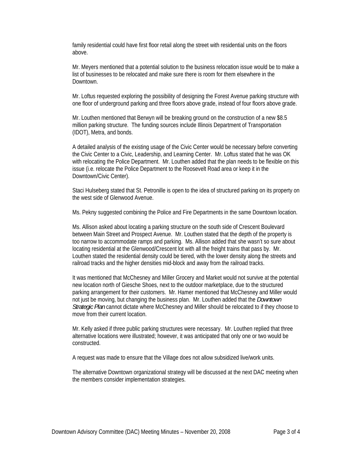family residential could have first floor retail along the street with residential units on the floors above.

Mr. Meyers mentioned that a potential solution to the business relocation issue would be to make a list of businesses to be relocated and make sure there is room for them elsewhere in the Downtown.

Mr. Loftus requested exploring the possibility of designing the Forest Avenue parking structure with one floor of underground parking and three floors above grade, instead of four floors above grade.

Mr. Louthen mentioned that Berwyn will be breaking ground on the construction of a new \$8.5 million parking structure. The funding sources include Illinois Department of Transportation (IDOT), Metra, and bonds.

A detailed analysis of the existing usage of the Civic Center would be necessary before converting the Civic Center to a Civic, Leadership, and Learning Center. Mr. Loftus stated that he was OK with relocating the Police Department. Mr. Louthen added that the plan needs to be flexible on this issue (i.e. relocate the Police Department to the Roosevelt Road area or keep it in the Downtown/Civic Center).

Staci Hulseberg stated that St. Petronille is open to the idea of structured parking on its property on the west side of Glenwood Avenue.

Ms. Pekny suggested combining the Police and Fire Departments in the same Downtown location.

Ms. Allison asked about locating a parking structure on the south side of Crescent Boulevard between Main Street and Prospect Avenue. Mr. Louthen stated that the depth of the property is too narrow to accommodate ramps and parking. Ms. Allison added that she wasn't so sure about locating residential at the Glenwood/Crescent lot with all the freight trains that pass by. Mr. Louthen stated the residential density could be tiered, with the lower density along the streets and railroad tracks and the higher densities mid-block and away from the railroad tracks.

It was mentioned that McChesney and Miller Grocery and Market would not survive at the potential new location north of Giesche Shoes, next to the outdoor marketplace, due to the structured parking arrangement for their customers. Mr. Hamer mentioned that McChesney and Miller would not just be moving, but changing the business plan. Mr. Louthen added that the *Downtown Strategic Plan* cannot dictate where McChesney and Miller should be relocated to if they choose to move from their current location.

Mr. Kelly asked if three public parking structures were necessary. Mr. Louthen replied that three alternative locations were illustrated; however, it was anticipated that only one or two would be constructed.

A request was made to ensure that the Village does not allow subsidized live/work units.

The alternative Downtown organizational strategy will be discussed at the next DAC meeting when the members consider implementation strategies.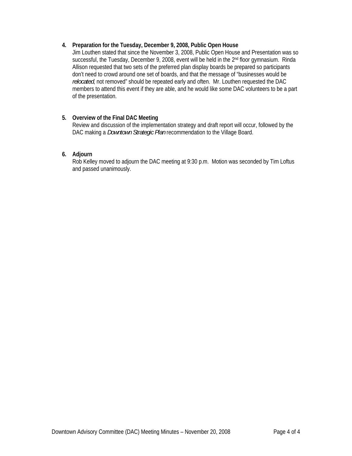# **4. Preparation for the Tuesday, December 9, 2008, Public Open House**

Jim Louthen stated that since the November 3, 2008, Public Open House and Presentation was so successful, the Tuesday, December 9, 2008, event will be held in the 2<sup>nd</sup> floor gymnasium. Rinda Allison requested that two sets of the preferred plan display boards be prepared so participants don't need to crowd around one set of boards, and that the message of "businesses would be *relocated*, not removed" should be repeated early and often. Mr. Louthen requested the DAC members to attend this event if they are able, and he would like some DAC volunteers to be a part of the presentation.

# **5. Overview of the Final DAC Meeting**

Review and discussion of the implementation strategy and draft report will occur, followed by the DAC making a *Downtown Strategic Plan* recommendation to the Village Board.

# **6. Adjourn**

Rob Kelley moved to adjourn the DAC meeting at 9:30 p.m. Motion was seconded by Tim Loftus and passed unanimously.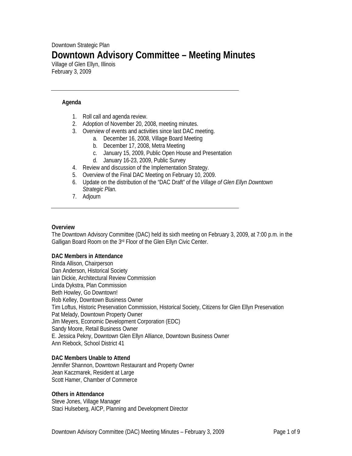# Downtown Strategic Plan **Downtown Advisory Committee – Meeting Minutes**

Village of Glen Ellyn, Illinois February 3, 2009

#### **Agenda**

- 1. Roll call and agenda review.
- 2. Adoption of November 20, 2008, meeting minutes.
- 3. Overview of events and activities since last DAC meeting.
	- a. December 16, 2008, Village Board Meeting
		- b. December 17, 2008, Metra Meeting
		- c. January 15, 2009, Public Open House and Presentation
		- d. January 16-23, 2009, Public Survey
- 4. Review and discussion of the Implementation Strategy.
- 5. Overview of the Final DAC Meeting on February 10, 2009.
- 6. Update on the distribution of the "DAC Draft" of the *Village of Glen Ellyn Downtown Strategic Plan*.
- 7. Adjourn

#### **Overview**

The Downtown Advisory Committee (DAC) held its sixth meeting on February 3, 2009, at 7:00 p.m. in the Galligan Board Room on the 3rd Floor of the Glen Ellyn Civic Center.

#### **DAC Members in Attendance**

Rinda Allison, Chairperson Dan Anderson, Historical Society Iain Dickie, Architectural Review Commission Linda Dykstra, Plan Commission Beth Howley, Go Downtown! Rob Kelley, Downtown Business Owner Tim Loftus, Historic Preservation Commission, Historical Society, Citizens for Glen Ellyn Preservation Pat Melady, Downtown Property Owner Jim Meyers, Economic Development Corporation (EDC) Sandy Moore, Retail Business Owner E. Jessica Pekny, Downtown Glen Ellyn Alliance, Downtown Business Owner Ann Riebock, School District 41

#### **DAC Members Unable to Attend**

Jennifer Shannon, Downtown Restaurant and Property Owner Jean Kaczmarek, Resident at Large Scott Hamer, Chamber of Commerce

#### **Others in Attendance**

Steve Jones, Village Manager Staci Hulseberg, AICP, Planning and Development Director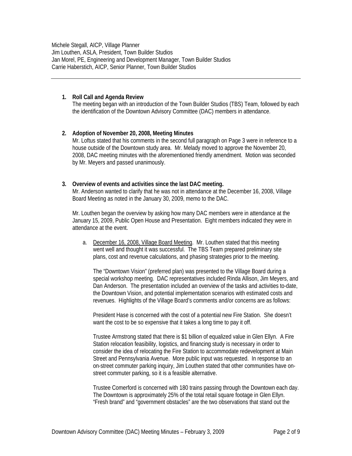Michele Stegall, AICP, Village Planner Jim Louthen, ASLA, President, Town Builder Studios Jan Morel, PE, Engineering and Development Manager, Town Builder Studios Carrie Haberstich, AICP, Senior Planner, Town Builder Studios

#### **1. Roll Call and Agenda Review**

The meeting began with an introduction of the Town Builder Studios (TBS) Team, followed by each the identification of the Downtown Advisory Committee (DAC) members in attendance.

#### **2. Adoption of November 20, 2008, Meeting Minutes**

Mr. Loftus stated that his comments in the second full paragraph on Page 3 were in reference to a house outside of the Downtown study area. Mr. Melady moved to approve the November 20, 2008, DAC meeting minutes with the aforementioned friendly amendment. Motion was seconded by Mr. Meyers and passed unanimously.

#### **3. Overview of events and activities since the last DAC meeting.**

Mr. Anderson wanted to clarify that he was not in attendance at the December 16, 2008, Village Board Meeting as noted in the January 30, 2009, memo to the DAC.

Mr. Louthen began the overview by asking how many DAC members were in attendance at the January 15, 2009, Public Open House and Presentation. Eight members indicated they were in attendance at the event.

a. December 16, 2008, Village Board Meeting. Mr. Louthen stated that this meeting went well and thought it was successful. The TBS Team prepared preliminary site plans, cost and revenue calculations, and phasing strategies prior to the meeting.

The "Downtown Vision" (preferred plan) was presented to the Village Board during a special workshop meeting. DAC representatives included Rinda Allison, Jim Meyers, and Dan Anderson. The presentation included an overview of the tasks and activities to-date, the Downtown Vision, and potential implementation scenarios with estimated costs and revenues. Highlights of the Village Board's comments and/or concerns are as follows:

President Hase is concerned with the cost of a potential new Fire Station. She doesn't want the cost to be so expensive that it takes a long time to pay it off.

Trustee Armstrong stated that there is \$1 billion of equalized value in Glen Ellyn. A Fire Station relocation feasibility, logistics, and financing study is necessary in order to consider the idea of relocating the Fire Station to accommodate redevelopment at Main Street and Pennsylvania Avenue. More public input was requested. In response to an on-street commuter parking inquiry, Jim Louthen stated that other communities have onstreet commuter parking, so it is a feasible alternative.

Trustee Comerford is concerned with 180 trains passing through the Downtown each day. The Downtown is approximately 25% of the total retail square footage in Glen Ellyn. "Fresh brand" and "government obstacles" are the two observations that stand out the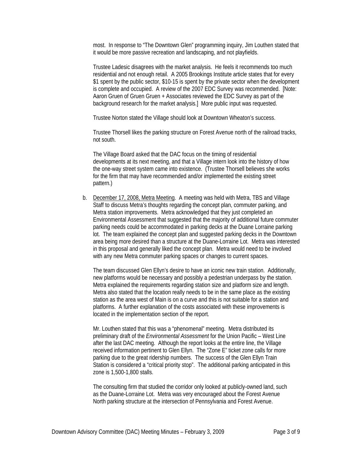most. In response to "The Downtown Glen" programming inquiry, Jim Louthen stated that it would be more passive recreation and landscaping, and not playfields.

Trustee Ladesic disagrees with the market analysis. He feels it recommends too much residential and not enough retail. A 2005 Brookings Institute article states that for every \$1 spent by the public sector, \$10-15 is spent by the private sector when the development is complete and occupied. A review of the 2007 EDC Survey was recommended. [Note: Aaron Gruen of Gruen Gruen + Associates reviewed the EDC Survey as part of the background research for the market analysis.] More public input was requested.

Trustee Norton stated the Village should look at Downtown Wheaton's success.

Trustee Thorsell likes the parking structure on Forest Avenue north of the railroad tracks, not south.

The Village Board asked that the DAC focus on the timing of residential developments at its next meeting, and that a Village intern look into the history of how the one-way street system came into existence. (Trustee Thorsell believes she works for the firm that may have recommended and/or implemented the existing street pattern.)

b. December 17, 2008, Metra Meeting. A meeting was held with Metra, TBS and Village Staff to discuss Metra's thoughts regarding the concept plan, commuter parking, and Metra station improvements. Metra acknowledged that they just completed an Environmental Assessment that suggested that the majority of additional future commuter parking needs could be accommodated in parking decks at the Duane Lorraine parking lot. The team explained the concept plan and suggested parking decks in the Downtown area being more desired than a structure at the Duane-Lorraine Lot. Metra was interested in this proposal and generally liked the concept plan. Metra would need to be involved with any new Metra commuter parking spaces or changes to current spaces.

The team discussed Glen Ellyn's desire to have an iconic new train station. Additionally, new platforms would be necessary and possibly a pedestrian underpass by the station. Metra explained the requirements regarding station size and platform size and length. Metra also stated that the location really needs to be in the same place as the existing station as the area west of Main is on a curve and this is not suitable for a station and platforms. A further explanation of the costs associated with these improvements is located in the implementation section of the report.

Mr. Louthen stated that this was a "phenomenal" meeting. Metra distributed its preliminary draft of the *Environmental Assessment* for the Union Pacific – West Line after the last DAC meeting. Although the report looks at the entire line, the Village received information pertinent to Glen Ellyn. The "Zone E" ticket zone calls for more parking due to the great ridership numbers. The success of the Glen Ellyn Train Station is considered a "critical priority stop". The additional parking anticipated in this zone is 1,500-1,800 stalls.

The consulting firm that studied the corridor only looked at publicly-owned land, such as the Duane-Lorraine Lot. Metra was very encouraged about the Forest Avenue North parking structure at the intersection of Pennsylvania and Forest Avenue.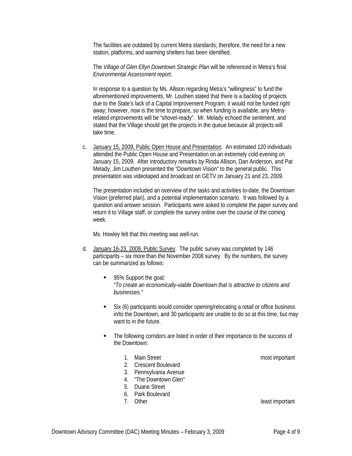The facilities are outdated by current Metra standards; therefore, the need for a new station, platforms, and warming shelters has been identified.

The *Village of Glen Ellyn Downtown Strategic Plan* will be referenced in Metra's final *Environmental Assessment* report.

In response to a question by Ms. Allison regarding Metra's "willingness" to fund the aforementioned improvements, Mr. Louthen stated that there is a backlog of projects due to the State's lack of a Capital Improvement Program, it would not be funded right away; however, now is the time to prepare, so when funding is available, any Metrarelated improvements will be "shovel-ready". Mr. Melady echoed the sentiment, and stated that the Village should get the projects in the queue because all projects will take time.

c. January 15, 2009, Public Open House and Presentation. An estimated 120 individuals attended the Public Open House and Presentation on an extremely cold evening on January 15, 2009. After introductory remarks by Rinda Allison, Dan Anderson, and Pat Melady, Jim Louthen presented the "Downtown Vision" to the general public. This presentation was videotaped and broadcast on GETV on January 21 and 23, 2009.

The presentation included an overview of the tasks and activities to-date, the Downtown Vision (preferred plan), and a potential implementation scenario. It was followed by a question and answer session. Participants were asked to complete the paper survey and return it to Village staff, or complete the survey online over the course of the coming week.

Ms. Howley felt that this meeting was well-run.

- d. January 16-23, 2009, Public Survey. The public survey was completed by 146 participants – six more than the November 2008 survey. By the numbers, the survey can be summarized as follows:
	- 95% Support the goal: "*To create an economically-viable Downtown that is attractive to citizens and businesses."*
	- Six (6) participants would consider opening/relocating a retail or office business in/to the Downtown, and 30 participants are unable to do so at this time, but may want to in the future.
	- The following corridors are listed in order of their importance to the success of the Downtown:
		- 1. Main Street most important
		- 2. Crescent Boulevard
		- 3. Pennsylvania Avenue
		- 4. "The Downtown Glen"
		- 5. Duane Street
		- 6. Park Boulevard
		-

7. Other least important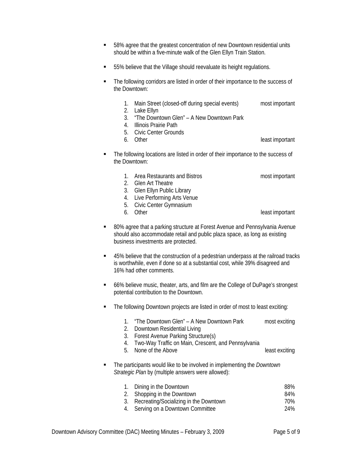- 58% agree that the greatest concentration of new Downtown residential units should be within a five-minute walk of the Glen Ellyn Train Station.
- 55% believe that the Village should reevaluate its height regulations.
- The following corridors are listed in order of their importance to the success of the Downtown:
	- 1. Main Street (closed-off during special events) most important
	- 2. Lake Ellyn
	- 3. "The Downtown Glen" A New Downtown Park
	- 4. Illinois Prairie Path
	- 5. Civic Center Grounds<br>6. Other
	-

least important

- The following locations are listed in order of their importance to the success of the Downtown:
	- 1. Area Restaurants and Bistros most important
	- 2. Glen Art Theatre
	- 3. Glen Ellyn Public Library
	- 4. Live Performing Arts Venue
	- 5. Civic Center Gymnasium
	-

6. Other least important

- 80% agree that a parking structure at Forest Avenue and Pennsylvania Avenue should also accommodate retail and public plaza space, as long as existing business investments are protected.
- 45% believe that the construction of a pedestrian underpass at the railroad tracks is worthwhile, even if done so at a substantial cost, while 39% disagreed and 16% had other comments.
- 66% believe music, theater, arts, and film are the College of DuPage's strongest potential contribution to the Downtown.
- **The following Downtown projects are listed in order of most to least exciting:** 
	- 1. "The Downtown Glen" A New Downtown Park most exciting
	- 2. Downtown Residential Living
	- 3. Forest Avenue Parking Structure(s)
	- 4. Two-Way Traffic on Main, Crescent, and Pennsylvania
	- 5. None of the Above least exciting
- The participants would like to be involved in implementing the *Downtown Strategic Plan* by (multiple answers were allowed):

| 1. Dining in the Downtown                 | 88% |
|-------------------------------------------|-----|
| 2. Shopping in the Downtown               | 84% |
| 3. Recreating/Socializing in the Downtown | 70% |
| 4. Serving on a Downtown Committee        | 24% |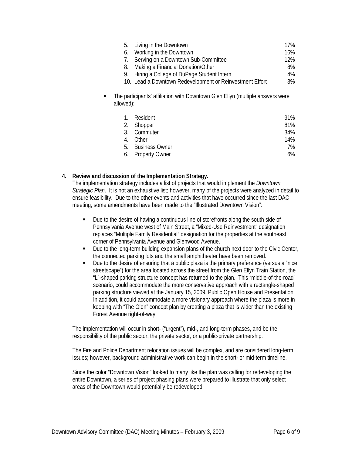|                                                                                                 |    | 5. Living in the Downtown                                | 17%   |  |
|-------------------------------------------------------------------------------------------------|----|----------------------------------------------------------|-------|--|
|                                                                                                 | 6. | Working in the Downtown                                  | 16%   |  |
|                                                                                                 |    | Serving on a Downtown Sub-Committee                      | 12%   |  |
|                                                                                                 | 8. | Making a Financial Donation/Other                        | 8%    |  |
|                                                                                                 | 9. | Hiring a College of DuPage Student Intern                | $4\%$ |  |
|                                                                                                 |    | 10. Lead a Downtown Redevelopment or Reinvestment Effort | 3%    |  |
| The participants' affiliation with Downtown Glen Ellyn (multiple answers were<br>٠<br>allowed): |    |                                                          |       |  |

| $1_{-}$ | Resident          | 91% |
|---------|-------------------|-----|
|         | 2. Shopper        | 81% |
|         | 3. Commuter       | 34% |
|         | 4. Other          | 14% |
|         | 5. Business Owner | 7%  |
|         | 6. Property Owner | 6%  |

# **4. Review and discussion of the Implementation Strategy.**

The implementation strategy includes a list of projects that would implement the *Downtown Strategic Plan*. It is not an exhaustive list; however, many of the projects were analyzed in detail to ensure feasibility. Due to the other events and activities that have occurred since the last DAC meeting, some amendments have been made to the "Illustrated Downtown Vision":

- Due to the desire of having a continuous line of storefronts along the south side of Pennsylvania Avenue west of Main Street, a "Mixed-Use Reinvestment" designation replaces "Multiple Family Residential" designation for the properties at the southeast corner of Pennsylvania Avenue and Glenwood Avenue.
- Due to the long-term building expansion plans of the church next door to the Civic Center, the connected parking lots and the small amphitheater have been removed.
- Due to the desire of ensuring that a public plaza is the primary preference (versus a "nice streetscape") for the area located across the street from the Glen Ellyn Train Station, the "L"-shaped parking structure concept has returned to the plan. This "middle-of-the-road" scenario, could accommodate the more conservative approach with a rectangle-shaped parking structure viewed at the January 15, 2009, Public Open House and Presentation. In addition, it could accommodate a more visionary approach where the plaza is more in keeping with "The Glen" concept plan by creating a plaza that is wider than the existing Forest Avenue right-of-way.

The implementation will occur in short- ("urgent"), mid-, and long-term phases, and be the responsibility of the public sector, the private sector, or a public-private partnership.

The Fire and Police Department relocation issues will be complex, and are considered long-term issues; however, background administrative work can begin in the short- or mid-term timeline.

Since the color "Downtown Vision" looked to many like the plan was calling for redeveloping the entire Downtown, a series of project phasing plans were prepared to illustrate that only select areas of the Downtown would potentially be redeveloped.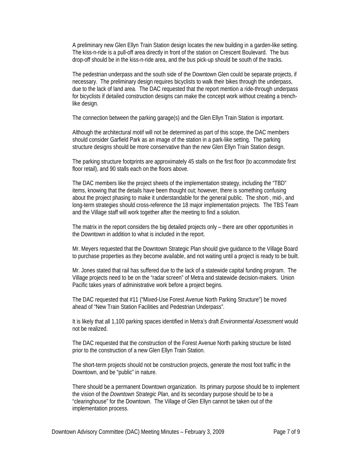A preliminary new Glen Ellyn Train Station design locates the new building in a garden-like setting. The kiss-n-ride is a pull-off area directly in front of the station on Crescent Boulevard. The bus drop-off should be in the kiss-n-ride area, and the bus pick-up should be south of the tracks.

The pedestrian underpass and the south side of the Downtown Glen could be separate projects, if necessary. The preliminary design requires bicyclists to walk their bikes through the underpass, due to the lack of land area. The DAC requested that the report mention a ride-through underpass for bicyclists if detailed construction designs can make the concept work without creating a trenchlike design.

The connection between the parking garage(s) and the Glen Ellyn Train Station is important.

Although the architectural motif will not be determined as part of this scope, the DAC members should consider Garfield Park as an image of the station in a park-like setting. The parking structure designs should be more conservative than the new Glen Ellyn Train Station design.

The parking structure footprints are approximately 45 stalls on the first floor (to accommodate first floor retail), and 90 stalls each on the floors above.

The DAC members like the project sheets of the implementation strategy, including the "TBD" items, knowing that the details have been thought out; however, there is something confusing about the project phasing to make it understandable for the general public. The short-, mid-, and long-term strategies should cross-reference the 18 major implementation projects. The TBS Team and the Village staff will work together after the meeting to find a solution.

The matrix in the report considers the big detailed projects only – there are other opportunities in the Downtown in addition to what is included in the report.

Mr. Meyers requested that the Downtown Strategic Plan should give guidance to the Village Board to purchase properties as they become available, and not waiting until a project is ready to be built.

Mr. Jones stated that rail has suffered due to the lack of a statewide capital funding program. The Village projects need to be on the "radar screen" of Metra and statewide decision-makers. Union Pacific takes years of administrative work before a project begins.

The DAC requested that #11 ("Mixed-Use Forest Avenue North Parking Structure") be moved ahead of "New Train Station Facilities and Pedestrian Underpass".

It is likely that all 1,100 parking spaces identified in Metra's draft *Environmental Assessment* would not be realized.

The DAC requested that the construction of the Forest Avenue North parking structure be listed prior to the construction of a new Glen Ellyn Train Station.

The short-term projects should not be construction projects, generate the most foot traffic in the Downtown, and be "public" in nature.

There should be a permanent Downtown organization. Its primary purpose should be to implement the vision of the *Downtown Strategic Plan*, and its secondary purpose should be to be a "clearinghouse" for the Downtown. The Village of Glen Ellyn cannot be taken out of the implementation process.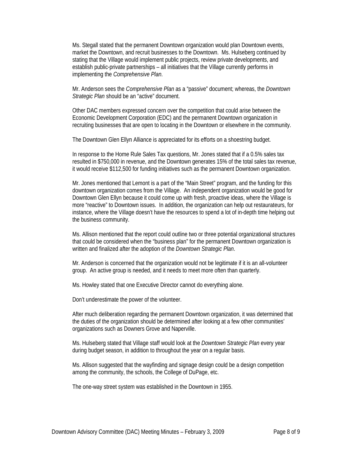Ms. Stegall stated that the permanent Downtown organization would plan Downtown events, market the Downtown, and recruit businesses to the Downtown. Ms. Hulseberg continued by stating that the Village would implement public projects, review private developments, and establish public-private partnerships – all initiatives that the Village currently performs in implementing the *Comprehensive Plan*.

Mr. Anderson sees the *Comprehensive Plan* as a "passive" document; whereas, the *Downtown Strategic Plan* should be an "active" document.

Other DAC members expressed concern over the competition that could arise between the Economic Development Corporation (EDC) and the permanent Downtown organization in recruiting businesses that are open to locating in the Downtown or elsewhere in the community.

The Downtown Glen Ellyn Alliance is appreciated for its efforts on a shoestring budget.

In response to the Home Rule Sales Tax questions, Mr. Jones stated that if a 0.5% sales tax resulted in \$750,000 in revenue, and the Downtown generates 15% of the total sales tax revenue, it would receive \$112,500 for funding initiatives such as the permanent Downtown organization.

Mr. Jones mentioned that Lemont is a part of the "Main Street" program, and the funding for this downtown organization comes from the Village. An independent organization would be good for Downtown Glen Ellyn because it could come up with fresh, proactive ideas, where the Village is more "reactive" to Downtown issues. In addition, the organization can help out restaurateurs, for instance, where the Village doesn't have the resources to spend a lot of in-depth time helping out the business community.

Ms. Allison mentioned that the report could outline two or three potential organizational structures that could be considered when the "business plan" for the permanent Downtown organization is written and finalized after the adoption of the *Downtown Strategic Plan*.

Mr. Anderson is concerned that the organization would not be legitimate if it is an all-volunteer group. An active group is needed, and it needs to meet more often than quarterly.

Ms. Howley stated that one Executive Director cannot do everything alone.

Don't underestimate the power of the volunteer.

After much deliberation regarding the permanent Downtown organization, it was determined that the duties of the organization should be determined after looking at a few other communities' organizations such as Downers Grove and Naperville.

Ms. Hulseberg stated that Village staff would look at the *Downtown Strategic Plan* every year during budget season, in addition to throughout the year on a regular basis.

Ms. Allison suggested that the wayfinding and signage design could be a design competition among the community, the schools, the College of DuPage, etc.

The one-way street system was established in the Downtown in 1955.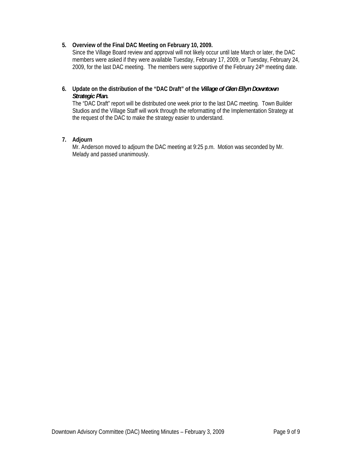# **5. Overview of the Final DAC Meeting on February 10, 2009.**

Since the Village Board review and approval will not likely occur until late March or later, the DAC members were asked if they were available Tuesday, February 17, 2009, or Tuesday, February 24, 2009, for the last DAC meeting. The members were supportive of the February 24<sup>th</sup> meeting date.

# **6. Update on the distribution of the "DAC Draft" of the** *Village of Glen Ellyn Downtown Strategic Plan***.**

The "DAC Draft" report will be distributed one week prior to the last DAC meeting. Town Builder Studios and the Village Staff will work through the reformatting of the Implementation Strategy at the request of the DAC to make the strategy easier to understand.

# **7. Adjourn**

Mr. Anderson moved to adjourn the DAC meeting at 9:25 p.m. Motion was seconded by Mr. Melady and passed unanimously.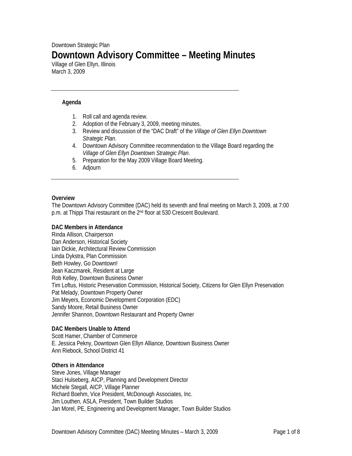# Downtown Strategic Plan **Downtown Advisory Committee – Meeting Minutes**

Village of Glen Ellyn, Illinois March 3, 2009

## **Agenda**

- 1. Roll call and agenda review.
- 2. Adoption of the February 3, 2009, meeting minutes.
- 3. Review and discussion of the "DAC Draft" of the *Village of Glen Ellyn Downtown Strategic Plan*.
- 4. Downtown Advisory Committee recommendation to the Village Board regarding the *Village of Glen Ellyn Downtown Strategic Plan*.
- 5. Preparation for the May 2009 Village Board Meeting.
- 6. Adjourn

#### **Overview**

The Downtown Advisory Committee (DAC) held its seventh and final meeting on March 3, 2009, at 7:00 p.m. at Thippi Thai restaurant on the 2nd floor at 530 Crescent Boulevard.

#### **DAC Members in Attendance**

Rinda Allison, Chairperson Dan Anderson, Historical Society Iain Dickie, Architectural Review Commission Linda Dykstra, Plan Commission Beth Howley, Go Downtown! Jean Kaczmarek, Resident at Large Rob Kelley, Downtown Business Owner Tim Loftus, Historic Preservation Commission, Historical Society, Citizens for Glen Ellyn Preservation Pat Melady, Downtown Property Owner Jim Meyers, Economic Development Corporation (EDC) Sandy Moore, Retail Business Owner Jennifer Shannon, Downtown Restaurant and Property Owner

#### **DAC Members Unable to Attend**

Scott Hamer, Chamber of Commerce E. Jessica Pekny, Downtown Glen Ellyn Alliance, Downtown Business Owner Ann Riebock, School District 41

#### **Others in Attendance**

Steve Jones, Village Manager Staci Hulseberg, AICP, Planning and Development Director Michele Stegall, AICP, Village Planner Richard Boehm, Vice President, McDonough Associates, Inc. Jim Louthen, ASLA, President, Town Builder Studios Jan Morel, PE, Engineering and Development Manager, Town Builder Studios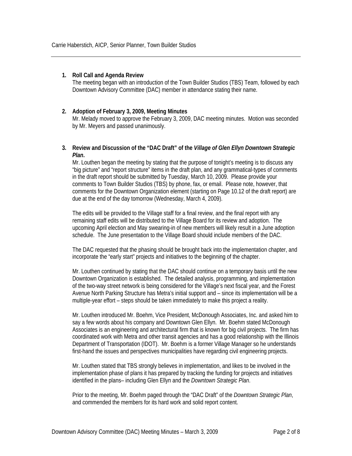#### **1. Roll Call and Agenda Review**

The meeting began with an introduction of the Town Builder Studios (TBS) Team, followed by each Downtown Advisory Committee (DAC) member in attendance stating their name.

# **2. Adoption of February 3, 2009, Meeting Minutes**

Mr. Melady moved to approve the February 3, 2009, DAC meeting minutes. Motion was seconded by Mr. Meyers and passed unanimously.

#### **3. Review and Discussion of the "DAC Draft" of the** *Village of Glen Ellyn Downtown Strategic Plan***.**

Mr. Louthen began the meeting by stating that the purpose of tonight's meeting is to discuss any "big picture" and "report structure" items in the draft plan, and any grammatical-types of comments in the draft report should be submitted by Tuesday, March 10, 2009. Please provide your comments to Town Builder Studios (TBS) by phone, fax, or email. Please note, however, that comments for the Downtown Organization element (starting on Page 10.12 of the draft report) are due at the end of the day tomorrow (Wednesday, March 4, 2009).

The edits will be provided to the Village staff for a final review, and the final report with any remaining staff edits will be distributed to the Village Board for its review and adoption. The upcoming April election and May swearing-in of new members will likely result in a June adoption schedule. The June presentation to the Village Board should include members of the DAC.

The DAC requested that the phasing should be brought back into the implementation chapter, and incorporate the "early start" projects and initiatives to the beginning of the chapter.

Mr. Louthen continued by stating that the DAC should continue on a temporary basis until the new Downtown Organization is established. The detailed analysis, programming, and implementation of the two-way street network is being considered for the Village's next fiscal year, and the Forest Avenue North Parking Structure has Metra's initial support and – since its implementation will be a multiple-year effort – steps should be taken immediately to make this project a reality.

Mr. Louthen introduced Mr. Boehm, Vice President, McDonough Associates, Inc. and asked him to say a few words about his company and Downtown Glen Ellyn. Mr. Boehm stated McDonough Associates is an engineering and architectural firm that is known for big civil projects. The firm has coordinated work with Metra and other transit agencies and has a good relationship with the Illinois Department of Transportation (IDOT). Mr. Boehm is a former Village Manager so he understands first-hand the issues and perspectives municipalities have regarding civil engineering projects.

Mr. Louthen stated that TBS strongly believes in implementation, and likes to be involved in the implementation phase of plans it has prepared by tracking the funding for projects and initiatives identified in the plans– including Glen Ellyn and the *Downtown Strategic Plan*.

Prior to the meeting, Mr. Boehm paged through the "DAC Draft" of the *Downtown Strategic Plan*, and commended the members for its hard work and solid report content.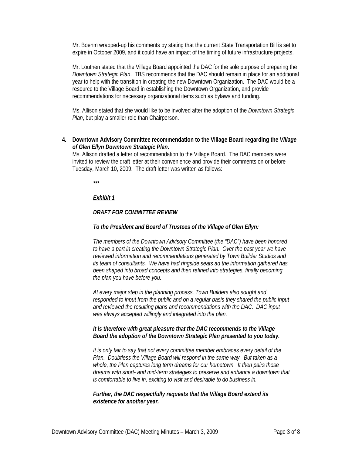Mr. Boehm wrapped-up his comments by stating that the current State Transportation Bill is set to expire in October 2009, and it could have an impact of the timing of future infrastructure projects.

Mr. Louthen stated that the Village Board appointed the DAC for the sole purpose of preparing the *Downtown Strategic Plan*. TBS recommends that the DAC should remain in place for an additional year to help with the transition in creating the new Downtown Organization. The DAC would be a resource to the Village Board in establishing the Downtown Organization, and provide recommendations for necessary organizational items such as bylaws and funding.

Ms. Allison stated that she would like to be involved after the adoption of the *Downtown Strategic Plan*, but play a smaller role than Chairperson.

**4. Downtown Advisory Committee recommendation to the Village Board regarding the** *Village of Glen Ellyn Downtown Strategic Plan***.** 

Ms. Allison drafted a letter of recommendation to the Village Board. The DAC members were invited to review the draft letter at their convenience and provide their comments on or before Tuesday, March 10, 2009. The draft letter was written as follows:

*\*\*\** 

#### *Exhibit 1*

# *DRAFT FOR COMMITTEE REVIEW*

#### *To the President and Board of Trustees of the Village of Glen Ellyn:*

*The members of the Downtown Advisory Committee (the "DAC") have been honored to have a part in creating the Downtown Strategic Plan. Over the past year we have reviewed information and recommendations generated by Town Builder Studios and its team of consultants. We have had ringside seats ad the information gathered has been shaped into broad concepts and then refined into strategies, finally becoming the plan you have before you.* 

*At every major step in the planning process, Town Builders also sought and responded to input from the public and on a regular basis they shared the public input and reviewed the resulting plans and recommendations with the DAC. DAC input was always accepted willingly and integrated into the plan.* 

#### *It is therefore with great pleasure that the DAC recommends to the Village Board the adoption of the Downtown Strategic Plan presented to you today.*

*It is only fair to say that not every committee member embraces every detail of the Plan. Doubtless the Village Board will respond in the same way. But taken as a whole, the Plan captures long term dreams for our hometown. It then pairs those dreams with short- and mid-term strategies to preserve and enhance a downtown that is comfortable to live in, exciting to visit and desirable to do business in.* 

*Further, the DAC respectfully requests that the Village Board extend its existence for another year.*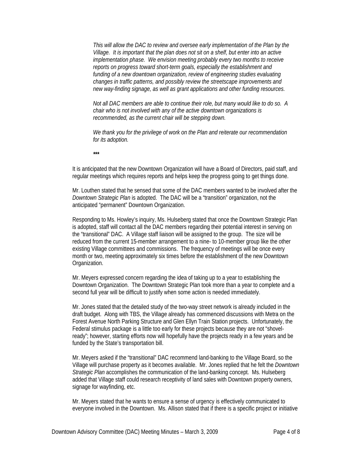*This will allow the DAC to review and oversee early implementation of the Plan by the Village. It is important that the plan does not sit on a shelf, but enter into an active implementation phase. We envision meeting probably every two months to receive reports on progress toward short-term goals, especially the establishment and funding of a new downtown organization, review of engineering studies evaluating changes in traffic patterns, and possibly review the streetscape improvements and new way-finding signage, as well as grant applications and other funding resources.* 

*Not all DAC members are able to continue their role, but many would like to do so. A chair who is not involved with any of the active downtown organizations is recommended, as the current chair will be stepping down.* 

*We thank you for the privilege of work on the Plan and reiterate our recommendation for its adoption.* 

*\*\*\** 

It is anticipated that the new Downtown Organization will have a Board of Directors, paid staff, and regular meetings which requires reports and helps keep the progress going to get things done.

Mr. Louthen stated that he sensed that some of the DAC members wanted to be involved after the *Downtown Strategic Plan* is adopted. The DAC will be a "transition" organization, not the anticipated "permanent" Downtown Organization.

Responding to Ms. Howley's inquiry, Ms. Hulseberg stated that once the Downtown Strategic Plan is adopted, staff will contact all the DAC members regarding their potential interest in serving on the "transitional" DAC. A Village staff liaison will be assigned to the group. The size will be reduced from the current 15-member arrangement to a nine- to 10-member group like the other existing Village committees and commissions. The frequency of meetings will be once every month or two, meeting approximately six times before the establishment of the new Downtown Organization.

Mr. Meyers expressed concern regarding the idea of taking up to a year to establishing the Downtown Organization. The Downtown Strategic Plan took more than a year to complete and a second full year will be difficult to justify when some action is needed immediately.

Mr. Jones stated that the detailed study of the two-way street network is already included in the draft budget. Along with TBS, the Village already has commenced discussions with Metra on the Forest Avenue North Parking Structure and Glen Ellyn Train Station projects. Unfortunately, the Federal stimulus package is a little too early for these projects because they are not "shovelready"; however, starting efforts now will hopefully have the projects ready in a few years and be funded by the State's transportation bill.

Mr. Meyers asked if the "transitional" DAC recommend land-banking to the Village Board, so the Village will purchase property as it becomes available. Mr. Jones replied that he felt the *Downtown Strategic Plan* accomplishes the communication of the land-banking concept. Ms. Hulseberg added that Village staff could research receptivity of land sales with Downtown property owners, signage for wayfinding, etc.

Mr. Meyers stated that he wants to ensure a sense of urgency is effectively communicated to everyone involved in the Downtown. Ms. Allison stated that if there is a specific project or initiative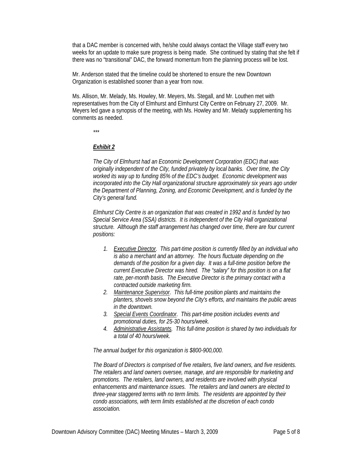that a DAC member is concerned with, he/she could always contact the Village staff every two weeks for an update to make sure progress is being made. She continued by stating that she felt if there was no "transitional" DAC, the forward momentum from the planning process will be lost.

Mr. Anderson stated that the timeline could be shortened to ensure the new Downtown Organization is established sooner than a year from now.

Ms. Allison, Mr. Melady, Ms. Howley, Mr. Meyers, Ms. Stegall, and Mr. Louthen met with representatives from the City of Elmhurst and Elmhurst City Centre on February 27, 2009. Mr. Meyers led gave a synopsis of the meeting, with Ms. Howley and Mr. Melady supplementing his comments as needed.

*\*\*\** 

# *Exhibit 2*

*The City of Elmhurst had an Economic Development Corporation (EDC) that was originally independent of the City, funded privately by local banks. Over time, the City worked its way up to funding 85% of the EDC's budget. Economic development was incorporated into the City Hall organizational structure approximately six years ago under the Department of Planning, Zoning, and Economic Development, and is funded by the City's general fund.* 

*Elmhurst City Centre is an organization that was created in 1992 and is funded by two Special Service Area (SSA) districts. It is independent of the City Hall organizational structure. Although the staff arrangement has changed over time, there are four current positions:* 

- *1. Executive Director. This part-time position is currently filled by an individual who is also a merchant and an attorney. The hours fluctuate depending on the demands of the position for a given day. It was a full-time position before the current Executive Director was hired. The "salary" for this position is on a flat rate, per-month basis. The Executive Director is the primary contact with a contracted outside marketing firm.*
- *2. Maintenance Supervisor. This full-time position plants and maintains the planters, shovels snow beyond the City's efforts, and maintains the public areas in the downtown.*
- *3. Special Events Coordinator. This part-time position includes events and promotional duties, for 25-30 hours/week.*
- *4. Administrative Assistants. This full-time position is shared by two individuals for a total of 40 hours/week.*

*The annual budget for this organization is \$800-900,000.* 

*The Board of Directors is comprised of five retailers, five land owners, and five residents. The retailers and land owners oversee, manage, and are responsible for marketing and promotions. The retailers, land owners, and residents are involved with physical enhancements and maintenance issues. The retailers and land owners are elected to three-year staggered terms with no term limits. The residents are appointed by their condo associations, with term limits established at the discretion of each condo association.*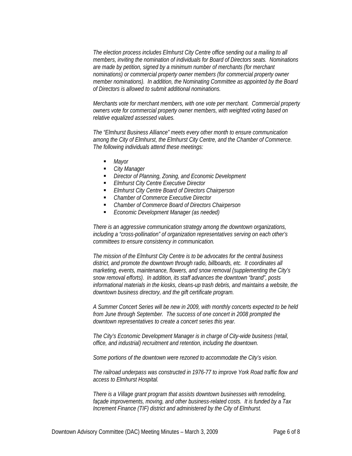*The election process includes Elmhurst City Centre office sending out a mailing to all members, inviting the nomination of individuals for Board of Directors seats. Nominations are made by petition, signed by a minimum number of merchants (for merchant nominations) or commercial property owner members (for commercial property owner member nominations). In addition, the Nominating Committee as appointed by the Board of Directors is allowed to submit additional nominations.* 

*Merchants vote for merchant members, with one vote per merchant. Commercial property owners vote for commercial property owner members, with weighted voting based on relative equalized assessed values.* 

*The "Elmhurst Business Alliance" meets every other month to ensure communication among the City of Elmhurst, the Elmhurst City Centre, and the Chamber of Commerce. The following individuals attend these meetings:* 

- *Mayor*
- *City Manager*
- *Director of Planning, Zoning, and Economic Development*
- *Elmhurst City Centre Executive Director*
- *Elmhurst City Centre Board of Directors Chairperson*
- *Chamber of Commerce Executive Director*
- *Chamber of Commerce Board of Directors Chairperson*
- *Economic Development Manager (as needed)*

*There is an aggressive communication strategy among the downtown organizations, including a "cross-pollination" of organization representatives serving on each other's committees to ensure consistency in communication.* 

*The mission of the Elmhurst City Centre is to be advocates for the central business district, and promote the downtown through radio, billboards, etc. It coordinates all marketing, events, maintenance, flowers, and snow removal (supplementing the City's snow removal efforts). In addition, its staff advances the downtown "brand", posts informational materials in the kiosks, cleans-up trash debris, and maintains a website, the downtown business directory, and the gift certificate program.* 

*A Summer Concert Series will be new in 2009, with monthly concerts expected to be held from June through September. The success of one concert in 2008 prompted the downtown representatives to create a concert series this year.* 

*The City's Economic Development Manager is in charge of City-wide business (retail, office, and industrial) recruitment and retention, including the downtown.* 

*Some portions of the downtown were rezoned to accommodate the City's vision.* 

*The railroad underpass was constructed in 1976-77 to improve York Road traffic flow and access to Elmhurst Hospital.* 

*There is a Village grant program that assists downtown businesses with remodeling, façade improvements, moving, and other business-related costs. It is funded by a Tax Increment Finance (TIF) district and administered by the City of Elmhurst.*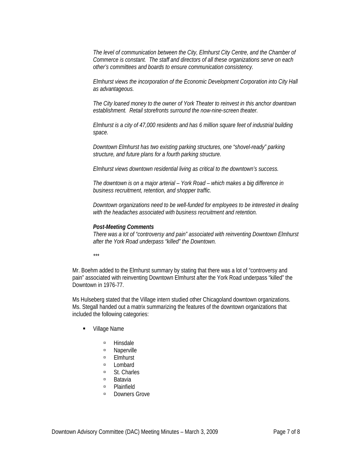*The level of communication between the City, Elmhurst City Centre, and the Chamber of Commerce is constant. The staff and directors of all these organizations serve on each other's committees and boards to ensure communication consistency.* 

*Elmhurst views the incorporation of the Economic Development Corporation into City Hall as advantageous.* 

*The City loaned money to the owner of York Theater to reinvest in this anchor downtown establishment. Retail storefronts surround the now-nine-screen theater.* 

*Elmhurst is a city of 47,000 residents and has 6 million square feet of industrial building space.* 

*Downtown Elmhurst has two existing parking structures, one "shovel-ready" parking structure, and future plans for a fourth parking structure.* 

*Elmhurst views downtown residential living as critical to the downtown's success.* 

*The downtown is on a major arterial – York Road – which makes a big difference in business recruitment, retention, and shopper traffic.* 

*Downtown organizations need to be well-funded for employees to be interested in dealing with the headaches associated with business recruitment and retention.* 

#### *Post-Meeting Comments*

*There was a lot of "controversy and pain" associated with reinventing Downtown Elmhurst after the York Road underpass "killed" the Downtown.* 

*\*\*\** 

Mr. Boehm added to the Elmhurst summary by stating that there was a lot of "controversy and pain" associated with reinventing Downtown Elmhurst after the York Road underpass "killed" the Downtown in 1976-77.

Ms Hulseberg stated that the Village intern studied other Chicagoland downtown organizations. Ms. Stegall handed out a matrix summarizing the features of the downtown organizations that included the following categories:

- Village Name
	- à Hinsdale
	- à Naperville
	- à Elmhurst
	- à Lombard
	- St. Charles
	- à Batavia
	- à Plainfield
	- **<u><b>•** Downers Grove</u>